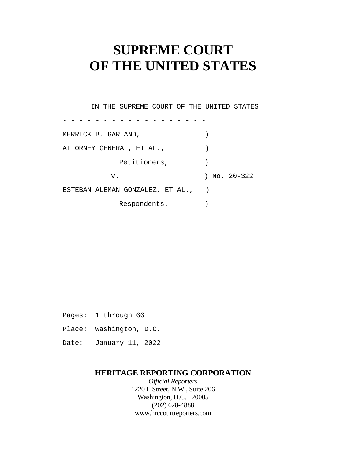# **SUPREME COURT OF THE UNITED STATES**

 ESTEBAN ALEMAN GONZALEZ, ET AL., ) - - - - - - - - - - - - - - - - - - - - - - - - - - - - - - - - - - - - IN THE SUPREME COURT OF THE UNITED STATES MERRICK B. GARLAND, (1992) ATTORNEY GENERAL, ET AL.,  $\qquad \qquad$ Petitioners,  $)$ v. ) No. 20-322 Respondents.

 Pages: 1 through 66 Place: Washington, D.C. Date: January 11, 2022

### **HERITAGE REPORTING CORPORATION**

*Official Reporters*  1220 L Street, N.W., Suite 206 Washington, D.C. 20005 (202) 628-4888 <www.hrccourtreporters.com>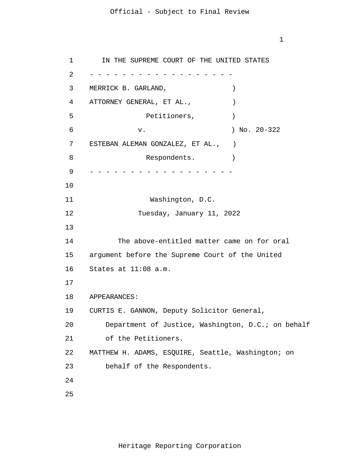#### Official - Subject to Final Review

1

1 2 3 4 5 6 7 8 9 10 11 12 13 14 15 16 17 18 19 20 21 22 23 24 25 - - - - - - - - - - - - - - - - - - - - - - - - - - - - - - - - - - - - IN THE SUPREME COURT OF THE UNITED STATES MERRICK B. GARLAND,  $)$ ATTORNEY GENERAL, ET AL.,  $\qquad$ Petitioners,  $)$  v. ) No. 20-322 ESTEBAN ALEMAN GONZALEZ, ET AL., ) Respondents. Washington, D.C. Tuesday, January 11, 2022 The above-entitled matter came on for oral argument before the Supreme Court of the United States at 11:08 a.m. APPEARANCES: CURTIS E. GANNON, Deputy Solicitor General, Department of Justice, Washington, D.C.; on behalf of the Petitioners. MATTHEW H. ADAMS, ESQUIRE, Seattle, Washington; on behalf of the Respondents.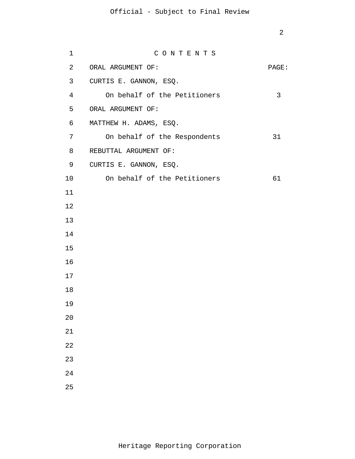## Official - Subject to Final Review

| $\mathbf 1$    | CONTENTS                     |       |
|----------------|------------------------------|-------|
| $\overline{2}$ | ORAL ARGUMENT OF:            | PAGE: |
| 3 <sup>7</sup> | CURTIS E. GANNON, ESQ.       |       |
| $\overline{4}$ | On behalf of the Petitioners | 3     |
| 5              | ORAL ARGUMENT OF:            |       |
| 6              | MATTHEW H. ADAMS, ESQ.       |       |
| 7              | On behalf of the Respondents | 31    |
| 8              | REBUTTAL ARGUMENT OF:        |       |
| 9              | CURTIS E. GANNON, ESQ.       |       |
| 10             | On behalf of the Petitioners | 61    |
| 11             |                              |       |
| 12             |                              |       |
| 13             |                              |       |
| 14             |                              |       |
| 15             |                              |       |
| 16             |                              |       |
| 17             |                              |       |
| 18             |                              |       |
| 19             |                              |       |
| 20             |                              |       |
| 21             |                              |       |
| 22             |                              |       |
| 23             |                              |       |
| 24             |                              |       |
| 25             |                              |       |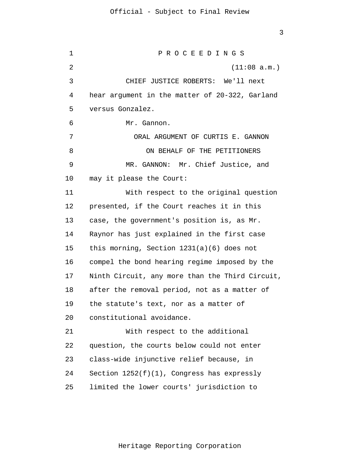1 2 3 4 5 6 7 8 9 10 11 12 13 14 15 16 17 18 19 20 21 22 23 24 25 P R O C E E D I N G S (11:08 a.m.) CHIEF JUSTICE ROBERTS: We'll next hear argument in the matter of 20-322, Garland versus Gonzalez. Mr. Gannon. ORAL ARGUMENT OF CURTIS E. GANNON ON BEHALF OF THE PETITIONERS MR. GANNON: Mr. Chief Justice, and may it please the Court: With respect to the original question presented, if the Court reaches it in this case, the government's position is, as Mr. Raynor has just explained in the first case this morning, Section 1231(a)(6) does not compel the bond hearing regime imposed by the Ninth Circuit, any more than the Third Circuit, after the removal period, not as a matter of the statute's text, nor as a matter of constitutional avoidance. With respect to the additional question, the courts below could not enter class-wide injunctive relief because, in Section  $1252(f)(1)$ , Congress has expressly limited the lower courts' jurisdiction to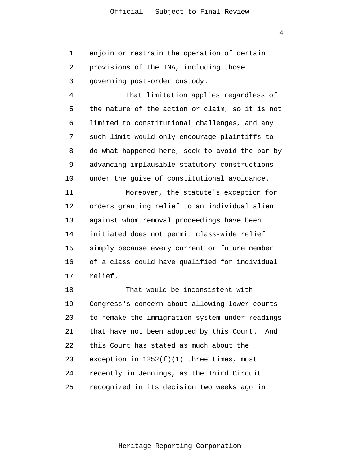1 2 3 enjoin or restrain the operation of certain provisions of the INA, including those governing post-order custody.

4 5 6 7 8 9 10 That limitation applies regardless of the nature of the action or claim, so it is not limited to constitutional challenges, and any such limit would only encourage plaintiffs to do what happened here, seek to avoid the bar by advancing implausible statutory constructions under the guise of constitutional avoidance.

11 12 13 14 15 16 17 Moreover, the statute's exception for orders granting relief to an individual alien against whom removal proceedings have been initiated does not permit class-wide relief simply because every current or future member of a class could have qualified for individual relief.

18 19 20 21 22 23 24 25 That would be inconsistent with Congress's concern about allowing lower courts to remake the immigration system under readings that have not been adopted by this Court. And this Court has stated as much about the exception in 1252(f)(1) three times, most recently in Jennings, as the Third Circuit recognized in its decision two weeks ago in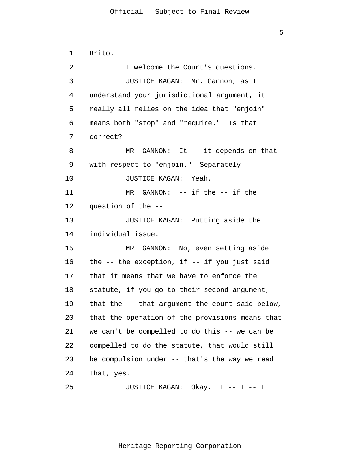1 2 3 4 5 6 7 8 9 10 11 12 13 14 15 16 17 18 19 20 21 22 23 24 25 Brito. I welcome the Court's questions. JUSTICE KAGAN: Mr. Gannon, as I understand your jurisdictional argument, it really all relies on the idea that "enjoin" means both "stop" and "require." Is that correct? MR. GANNON: It -- it depends on that with respect to "enjoin." Separately -- JUSTICE KAGAN: Yeah. MR. GANNON: -- if the -- if the question of the -- JUSTICE KAGAN: Putting aside the individual issue. MR. GANNON: No, even setting aside the  $-$ - the exception, if  $-$ - if you just said that it means that we have to enforce the statute, if you go to their second argument, that the -- that argument the court said below, that the operation of the provisions means that we can't be compelled to do this -- we can be compelled to do the statute, that would still be compulsion under -- that's the way we read that, yes. JUSTICE KAGAN: Okay. I -- I -- I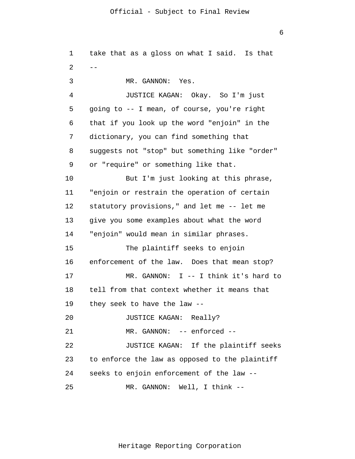1 2 3 4 5 6 7 8 9 10 11 12 13 14 15 16 17 18 19 20 21 22 23 24 25 - take that as a gloss on what I said. Is that MR. GANNON: Yes. JUSTICE KAGAN: Okay. So I'm just going to -- I mean, of course, you're right that if you look up the word "enjoin" in the dictionary, you can find something that suggests not "stop" but something like "order" or "require" or something like that. But I'm just looking at this phrase, "enjoin or restrain the operation of certain statutory provisions," and let me -- let me give you some examples about what the word "enjoin" would mean in similar phrases. The plaintiff seeks to enjoin enforcement of the law. Does that mean stop? MR. GANNON: I -- I think it's hard to tell from that context whether it means that they seek to have the law -- JUSTICE KAGAN: Really? MR. GANNON: -- enforced -- JUSTICE KAGAN: If the plaintiff seeks to enforce the law as opposed to the plaintiff seeks to enjoin enforcement of the law -- MR. GANNON: Well, I think --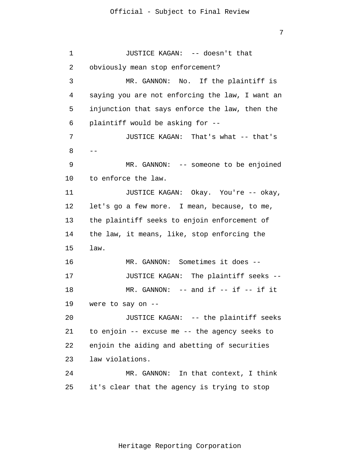1 2 3 4 5 6 7 8 9 10 11 12 13 14 15 16 17 18 19 20 21 22 23 24 25  $-$ JUSTICE KAGAN: -- doesn't that obviously mean stop enforcement? MR. GANNON: No. If the plaintiff is saying you are not enforcing the law, I want an injunction that says enforce the law, then the plaintiff would be asking for -- JUSTICE KAGAN: That's what -- that's MR. GANNON: -- someone to be enjoined to enforce the law. JUSTICE KAGAN: Okay. You're -- okay, let's go a few more. I mean, because, to me, the plaintiff seeks to enjoin enforcement of the law, it means, like, stop enforcing the law. MR. GANNON: Sometimes it does -- JUSTICE KAGAN: The plaintiff seeks --  $MR.$  GANNON:  $--$  and if  $--$  if  $--$  if it were to say on -- JUSTICE KAGAN: -- the plaintiff seeks to enjoin -- excuse me -- the agency seeks to enjoin the aiding and abetting of securities law violations. MR. GANNON: In that context, I think it's clear that the agency is trying to stop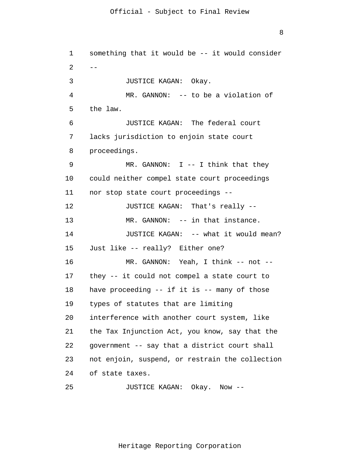```
1 
 2 
 3 
 4 
 5 
 6 
 7 
 8 
 9 
10 
11 
12 
13 
14 
15 
16 
17 
18 
19 
20 
21 
22 
23 
24 
25 
      --
       something that it would be -- it would consider
                JUSTICE KAGAN: Okay.
               MR. GANNON: -- to be a violation of
       the law.
                JUSTICE KAGAN: The federal court
       lacks jurisdiction to enjoin state court
       proceedings.
               MR. GANNON: I -- I think that they
      could neither compel state court proceedings 
      nor stop state court proceedings --
               JUSTICE KAGAN: That's really --
               MR. GANNON: -- in that instance.
               JUSTICE KAGAN: -- what it would mean? 
      Just like -- really? Either one? 
               MR. GANNON: Yeah, I think -- not --
      they -- it could not compel a state court to 
      have proceeding -- if it is -- many of those 
      types of statutes that are limiting 
      interference with another court system, like 
      the Tax Injunction Act, you know, say that the 
      government -- say that a district court shall 
      not enjoin, suspend, or restrain the collection 
      of state taxes. 
               JUSTICE KAGAN: Okay. Now --
```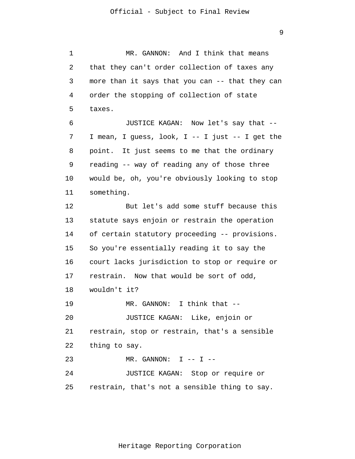1 2 3 4 5 6 7 8 9 10 11 12 13 14 15 16 17 18 19 20 21 22 23 24 25 MR. GANNON: And I think that means that they can't order collection of taxes any more than it says that you can -- that they can order the stopping of collection of state taxes. JUSTICE KAGAN: Now let's say that -- I mean, I guess, look, I -- I just -- I get the point. It just seems to me that the ordinary reading -- way of reading any of those three would be, oh, you're obviously looking to stop something. But let's add some stuff because this statute says enjoin or restrain the operation of certain statutory proceeding -- provisions. So you're essentially reading it to say the court lacks jurisdiction to stop or require or restrain. Now that would be sort of odd, wouldn't it? MR. GANNON: I think that -- JUSTICE KAGAN: Like, enjoin or restrain, stop or restrain, that's a sensible thing to say.  $MR.$  GANNON: I -- I --JUSTICE KAGAN: Stop or require or restrain, that's not a sensible thing to say.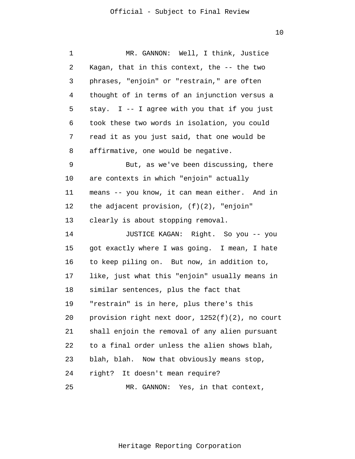| 1  | MR. GANNON: Well, I think, Justice              |
|----|-------------------------------------------------|
| 2  | Kagan, that in this context, the -- the two     |
| 3  | phrases, "enjoin" or "restrain," are often      |
| 4  | thought of in terms of an injunction versus a   |
| 5  | stay. I -- I agree with you that if you just    |
| 6  | took these two words in isolation, you could    |
| 7  | read it as you just said, that one would be     |
| 8  | affirmative, one would be negative.             |
| 9  | But, as we've been discussing, there            |
| 10 | are contexts in which "enjoin" actually         |
| 11 | means -- you know, it can mean either. And in   |
| 12 | the adjacent provision, $(f)(2)$ , "enjoin"     |
| 13 | clearly is about stopping removal.              |
| 14 | JUSTICE KAGAN: Right. So you -- you             |
| 15 | got exactly where I was going. I mean, I hate   |
| 16 | to keep piling on. But now, in addition to,     |
| 17 | like, just what this "enjoin" usually means in  |
| 18 | similar sentences, plus the fact that           |
| 19 | "restrain" is in here, plus there's this        |
| 20 | provision right next door, 1252(f)(2), no court |
| 21 | shall enjoin the removal of any alien pursuant  |
| 22 | to a final order unless the alien shows blah,   |
| 23 | blah, blah. Now that obviously means stop,      |
| 24 | right? It doesn't mean require?                 |
| 25 | MR. GANNON: Yes, in that context,               |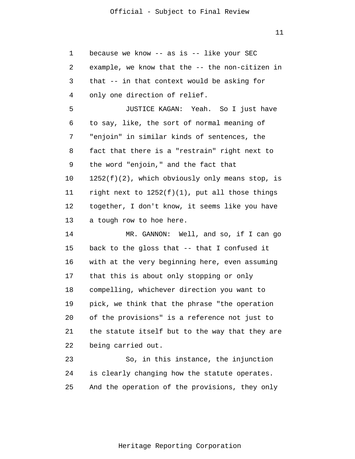| 1  | because we know -- as is -- like your SEC          |
|----|----------------------------------------------------|
| 2  | example, we know that the -- the non-citizen in    |
| 3  | that -- in that context would be asking for        |
| 4  | only one direction of relief.                      |
| 5  | JUSTICE KAGAN: Yeah. So I just have                |
| 6  | to say, like, the sort of normal meaning of        |
| 7  | "enjoin" in similar kinds of sentences, the        |
| 8  | fact that there is a "restrain" right next to      |
| 9  | the word "enjoin," and the fact that               |
| 10 | $1252(f)(2)$ , which obviously only means stop, is |
| 11 | right next to $1252(f)(1)$ , put all those things  |
| 12 | together, I don't know, it seems like you have     |
| 13 | a tough row to hoe here.                           |
| 14 | MR. GANNON: Well, and so, if I can go              |
| 15 | back to the gloss that -- that I confused it       |
| 16 | with at the very beginning here, even assuming     |
| 17 | that this is about only stopping or only           |
| 18 | compelling, whichever direction you want to        |
| 19 | pick, we think that the phrase "the operation      |
| 20 | of the provisions" is a reference not just to      |
| 21 | the statute itself but to the way that they are    |
| 22 | being carried out.                                 |
| 23 | So, in this instance, the injunction               |
| 24 | is clearly changing how the statute operates.      |
| 25 | And the operation of the provisions, they only     |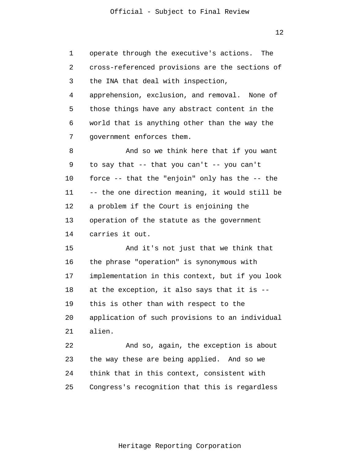1 2 3 4 5 6 7 8 9 10 11 12 13 14 15 16 17 18 19 20 21 22 23 24 25 operate through the executive's actions. The cross-referenced provisions are the sections of the INA that deal with inspection, apprehension, exclusion, and removal. None of those things have any abstract content in the world that is anything other than the way the government enforces them. And so we think here that if you want to say that -- that you can't -- you can't force -- that the "enjoin" only has the -- the -- the one direction meaning, it would still be a problem if the Court is enjoining the operation of the statute as the government carries it out. And it's not just that we think that the phrase "operation" is synonymous with implementation in this context, but if you look at the exception, it also says that it is - this is other than with respect to the application of such provisions to an individual alien. And so, again, the exception is about the way these are being applied. And so we think that in this context, consistent with Congress's recognition that this is regardless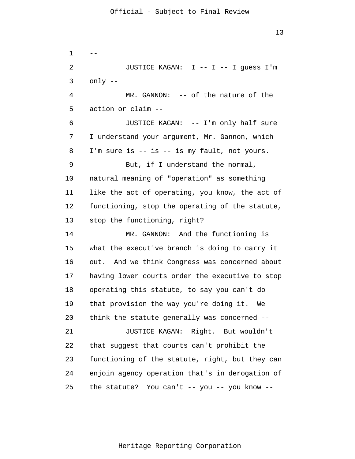1 2 3 4 5 6 7 8 9 10 11 12 13 14 15 16 17 18 19 20 21 22 23 24 25 -- JUSTICE KAGAN: I -- I -- I quess I'm only -- MR. GANNON: -- of the nature of the action or claim -- JUSTICE KAGAN: -- I'm only half sure I understand your argument, Mr. Gannon, which I'm sure is -- is -- is my fault, not yours. But, if I understand the normal, natural meaning of "operation" as something like the act of operating, you know, the act of functioning, stop the operating of the statute, stop the functioning, right? MR. GANNON: And the functioning is what the executive branch is doing to carry it out. And we think Congress was concerned about having lower courts order the executive to stop operating this statute, to say you can't do that provision the way you're doing it. We think the statute generally was concerned -- JUSTICE KAGAN: Right. But wouldn't that suggest that courts can't prohibit the functioning of the statute, right, but they can enjoin agency operation that's in derogation of the statute? You can't -- you -- you know --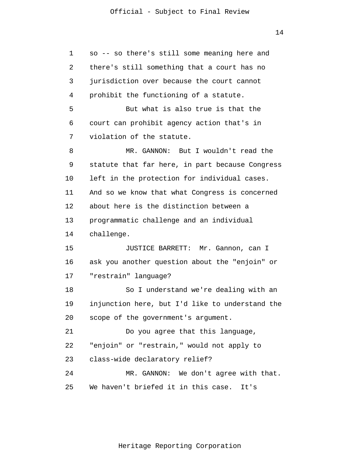| 1  | so -- so there's still some meaning here and    |
|----|-------------------------------------------------|
| 2  | there's still something that a court has no     |
| 3  | jurisdiction over because the court cannot      |
| 4  | prohibit the functioning of a statute.          |
| 5  | But what is also true is that the               |
| 6  | court can prohibit agency action that's in      |
| 7  | violation of the statute.                       |
| 8  | MR. GANNON: But I wouldn't read the             |
| 9  | statute that far here, in part because Congress |
| 10 | left in the protection for individual cases.    |
| 11 | And so we know that what Congress is concerned  |
| 12 | about here is the distinction between a         |
| 13 | programmatic challenge and an individual        |
| 14 | challenge.                                      |
| 15 | JUSTICE BARRETT: Mr. Gannon, can I              |
| 16 | ask you another question about the "enjoin" or  |
| 17 | "restrain" language?                            |
| 18 | So I understand we're dealing with an           |
| 19 | injunction here, but I'd like to understand the |
| 20 | scope of the government's argument.             |
| 21 | Do you agree that this language,                |
| 22 | "enjoin" or "restrain," would not apply to      |
| 23 | class-wide declaratory relief?                  |
| 24 | MR. GANNON: We don't agree with that.           |
| 25 | We haven't briefed it in this case.<br>It's     |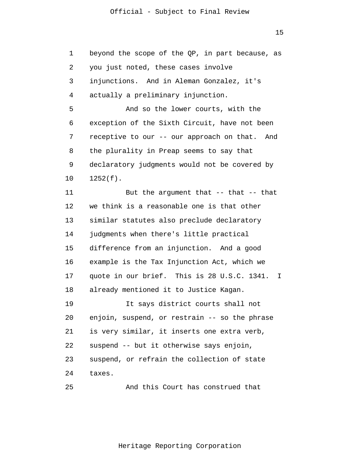1 2 3 4 5 6 7 8 9 10 11 12 13 14 15 16 17 18 19 20 21 22 23 24 25 beyond the scope of the QP, in part because, as you just noted, these cases involve injunctions. And in Aleman Gonzalez, it's actually a preliminary injunction. And so the lower courts, with the exception of the Sixth Circuit, have not been receptive to our -- our approach on that. And the plurality in Preap seems to say that declaratory judgments would not be covered by 1252(f). But the argument that -- that -- that we think is a reasonable one is that other similar statutes also preclude declaratory judgments when there's little practical difference from an injunction. And a good example is the Tax Injunction Act, which we quote in our brief. This is 28 U.S.C. 1341. I already mentioned it to Justice Kagan. It says district courts shall not enjoin, suspend, or restrain -- so the phrase is very similar, it inserts one extra verb, suspend -- but it otherwise says enjoin, suspend, or refrain the collection of state taxes. And this Court has construed that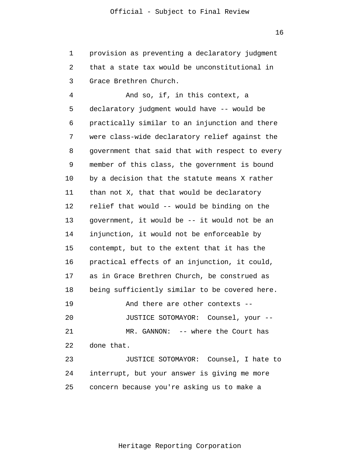1 2 3 provision as preventing a declaratory judgment that a state tax would be unconstitutional in Grace Brethren Church.

4 5 6 7 8 9 10 11 12 13 14 15 16 17 18 19 20 21 22 23 24 25 And so, if, in this context, a declaratory judgment would have -- would be practically similar to an injunction and there were class-wide declaratory relief against the government that said that with respect to every member of this class, the government is bound by a decision that the statute means X rather than not X, that that would be declaratory relief that would -- would be binding on the government, it would be -- it would not be an injunction, it would not be enforceable by contempt, but to the extent that it has the practical effects of an injunction, it could, as in Grace Brethren Church, be construed as being sufficiently similar to be covered here. And there are other contexts -- JUSTICE SOTOMAYOR: Counsel, your -- MR. GANNON: -- where the Court has done that. JUSTICE SOTOMAYOR: Counsel, I hate to interrupt, but your answer is giving me more concern because you're asking us to make a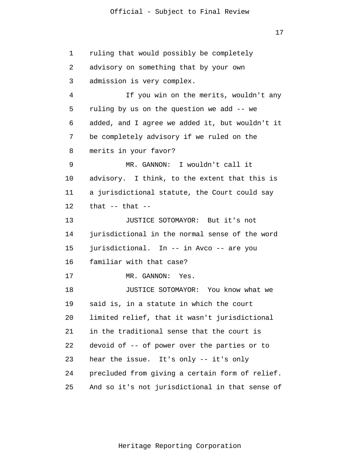#### Official - Subject to Final Review

17

1 2 3 4 5 6 7 8 9 10 11 12 13 14 15 16 17 18 19 20 21 22 23 24 25 ruling that would possibly be completely advisory on something that by your own admission is very complex. If you win on the merits, wouldn't any ruling by us on the question we add -- we added, and I agree we added it, but wouldn't it be completely advisory if we ruled on the merits in your favor? MR. GANNON: I wouldn't call it advisory. I think, to the extent that this is a jurisdictional statute, the Court could say that  $--$  that  $--$ JUSTICE SOTOMAYOR: But it's not jurisdictional in the normal sense of the word jurisdictional. In -- in Avco -- are you familiar with that case? MR. GANNON: Yes. JUSTICE SOTOMAYOR: You know what we said is, in a statute in which the court limited relief, that it wasn't jurisdictional in the traditional sense that the court is devoid of -- of power over the parties or to hear the issue. It's only -- it's only precluded from giving a certain form of relief. And so it's not jurisdictional in that sense of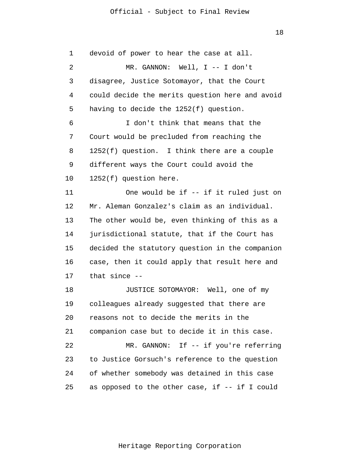#### Official - Subject to Final Review

18

1 2 3 4 5 6 7 8 9 10 11 12 13 14 15 16 17 18 19 20 21 22 23 24 25 devoid of power to hear the case at all. MR. GANNON: Well, I -- I don't disagree, Justice Sotomayor, that the Court could decide the merits question here and avoid having to decide the 1252(f) question. I don't think that means that the Court would be precluded from reaching the 1252(f) question. I think there are a couple different ways the Court could avoid the 1252(f) question here. One would be if -- if it ruled just on Mr. Aleman Gonzalez's claim as an individual. The other would be, even thinking of this as a jurisdictional statute, that if the Court has decided the statutory question in the companion case, then it could apply that result here and that since -- JUSTICE SOTOMAYOR: Well, one of my colleagues already suggested that there are reasons not to decide the merits in the companion case but to decide it in this case. MR. GANNON: If -- if you're referring to Justice Gorsuch's reference to the question of whether somebody was detained in this case as opposed to the other case, if -- if I could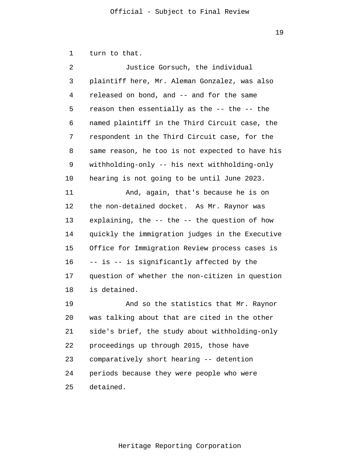1 turn to that.

| 2            | Justice Gorsuch, the individual                     |
|--------------|-----------------------------------------------------|
| $\mathsf{3}$ | plaintiff here, Mr. Aleman Gonzalez, was also       |
| 4            | released on bond, and -- and for the same           |
| 5            | reason then essentially as the -- the -- the        |
| 6            | named plaintiff in the Third Circuit case, the      |
| 7            | respondent in the Third Circuit case, for the       |
| 8            | same reason, he too is not expected to have his     |
| 9            | withholding-only -- his next withholding-only       |
| 10           | hearing is not going to be until June 2023.         |
| 11           | And, again, that's because he is on                 |
| 12           | the non-detained docket. As Mr. Raynor was          |
| 13           | explaining, the $-$ - the $-$ - the question of how |
| 14           | quickly the immigration judges in the Executive     |
| 15           | Office for Immigration Review process cases is      |
| 16           | -- is -- is significantly affected by the           |
| 17           | question of whether the non-citizen in question     |
| 18           | is detained.                                        |
| 19           | And so the statistics that Mr. Raynor               |
| 20           | was talking about that are cited in the other       |
| 21           | side's brief, the study about withholding-only      |
| 22           | proceedings up through 2015, those have             |
| 23           | comparatively short hearing -- detention            |

25 detained.

Heritage Reporting Corporation

24 periods because they were people who were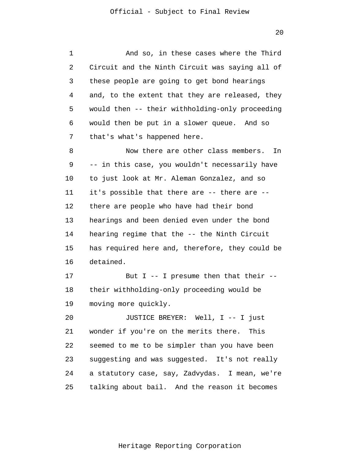1 2 3 4 5 6 7 8 9 10 11 12 13 14 15 16 17 18 19 20 21 22 23 24 25 And so, in these cases where the Third Circuit and the Ninth Circuit was saying all of these people are going to get bond hearings and, to the extent that they are released, they would then -- their withholding-only proceeding would then be put in a slower queue. And so that's what's happened here. Now there are other class members. In -- in this case, you wouldn't necessarily have to just look at Mr. Aleman Gonzalez, and so it's possible that there are -- there are - there are people who have had their bond hearings and been denied even under the bond hearing regime that the -- the Ninth Circuit has required here and, therefore, they could be detained. But I  $-$ - I presume then that their  $-$ their withholding-only proceeding would be moving more quickly. JUSTICE BREYER: Well, I -- I just wonder if you're on the merits there. This seemed to me to be simpler than you have been suggesting and was suggested. It's not really a statutory case, say, Zadvydas. I mean, we're talking about bail. And the reason it becomes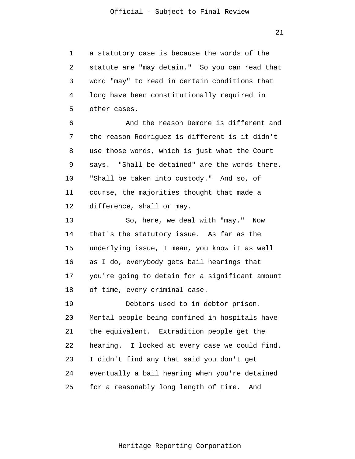1 2 3 4 5 a statutory case is because the words of the statute are "may detain." So you can read that word "may" to read in certain conditions that long have been constitutionally required in other cases.

6 7 8 9 10 11 12 And the reason Demore is different and the reason Rodriguez is different is it didn't use those words, which is just what the Court says. "Shall be detained" are the words there. "Shall be taken into custody." And so, of course, the majorities thought that made a difference, shall or may.

13 14 15 16 17 18 So, here, we deal with "may." Now that's the statutory issue. As far as the underlying issue, I mean, you know it as well as I do, everybody gets bail hearings that you're going to detain for a significant amount of time, every criminal case.

19 20 21 22 23 24 25 Debtors used to in debtor prison. Mental people being confined in hospitals have the equivalent. Extradition people get the hearing. I looked at every case we could find. I didn't find any that said you don't get eventually a bail hearing when you're detained for a reasonably long length of time. And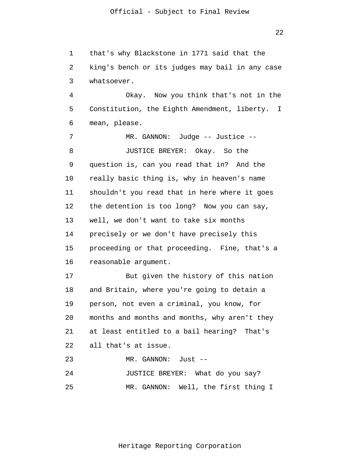1 2 3 that's why Blackstone in 1771 said that the king's bench or its judges may bail in any case whatsoever.

4 5 6 Okay. Now you think that's not in the Constitution, the Eighth Amendment, liberty. I mean, please.

7 8 9 10 11 12 13 14 15 16 17 18 19 20 21 MR. GANNON: Judge -- Justice -- JUSTICE BREYER: Okay. So the question is, can you read that in? And the really basic thing is, why in heaven's name shouldn't you read that in here where it goes the detention is too long? Now you can say, well, we don't want to take six months precisely or we don't have precisely this proceeding or that proceeding. Fine, that's a reasonable argument. But given the history of this nation and Britain, where you're going to detain a person, not even a criminal, you know, for months and months and months, why aren't they at least entitled to a bail hearing? That's

22 all that's at issue.

23 24 25 MR. GANNON: Just -- JUSTICE BREYER: What do you say? MR. GANNON: Well, the first thing I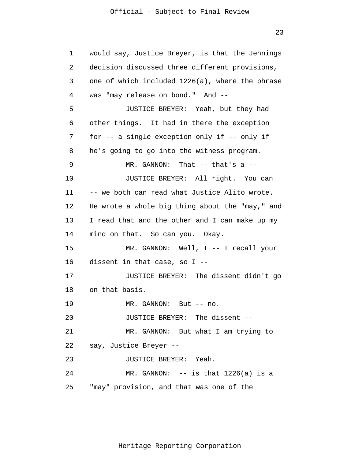1 2 3 4 5 6 7 8 9 10 11 12 13 14 15 16 17 18 19 20 21 22 23 24 25 would say, Justice Breyer, is that the Jennings decision discussed three different provisions, one of which included 1226(a), where the phrase was "may release on bond." And -- JUSTICE BREYER: Yeah, but they had other things. It had in there the exception for -- a single exception only if -- only if he's going to go into the witness program. MR. GANNON: That -- that's a -- JUSTICE BREYER: All right. You can -- we both can read what Justice Alito wrote. He wrote a whole big thing about the "may," and I read that and the other and I can make up my mind on that. So can you. Okay. MR. GANNON: Well, I -- I recall your dissent in that case, so I -- JUSTICE BREYER: The dissent didn't go on that basis. MR. GANNON: But -- no. JUSTICE BREYER: The dissent -- MR. GANNON: But what I am trying to say, Justice Breyer -- JUSTICE BREYER: Yeah. MR. GANNON:  $-$ - is that  $1226(a)$  is a "may" provision, and that was one of the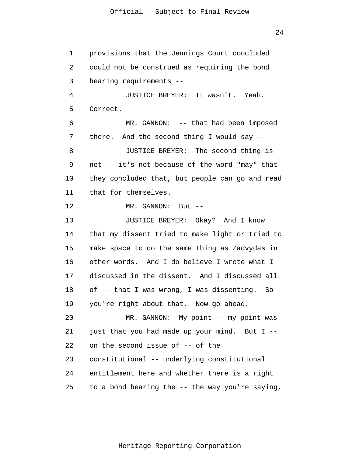1 2 3 4 5 6 7 8 9 10 11 12 13 14 15 16 17 18 19 20 21 22 23 24 25 provisions that the Jennings Court concluded could not be construed as requiring the bond hearing requirements -- JUSTICE BREYER: It wasn't. Yeah. Correct. MR. GANNON: -- that had been imposed there. And the second thing I would say -- JUSTICE BREYER: The second thing is not -- it's not because of the word "may" that they concluded that, but people can go and read that for themselves. MR. GANNON: But --JUSTICE BREYER: Okay? And I know that my dissent tried to make light or tried to make space to do the same thing as Zadvydas in other words. And I do believe I wrote what I discussed in the dissent. And I discussed all of -- that I was wrong, I was dissenting. So you're right about that. Now go ahead. MR. GANNON: My point -- my point was just that you had made up your mind. But I - on the second issue of -- of the constitutional -- underlying constitutional entitlement here and whether there is a right to a bond hearing the -- the way you're saying,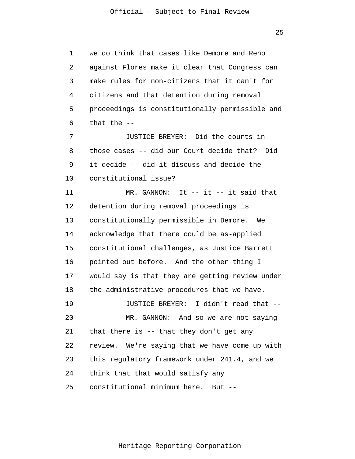1 2 3 4 5 6 we do think that cases like Demore and Reno against Flores make it clear that Congress can make rules for non-citizens that it can't for citizens and that detention during removal proceedings is constitutionally permissible and that the --

7 8 9 10 JUSTICE BREYER: Did the courts in those cases -- did our Court decide that? Did it decide -- did it discuss and decide the constitutional issue?

11 12 13 14 15 16 17 18 MR. GANNON: It -- it -- it said that detention during removal proceedings is constitutionally permissible in Demore. We acknowledge that there could be as-applied constitutional challenges, as Justice Barrett pointed out before. And the other thing I would say is that they are getting review under the administrative procedures that we have.

19 20 21 22 23 24 25 JUSTICE BREYER: I didn't read that -- MR. GANNON: And so we are not saying that there is -- that they don't get any review. We're saying that we have come up with this regulatory framework under 241.4, and we think that that would satisfy any constitutional minimum here. But --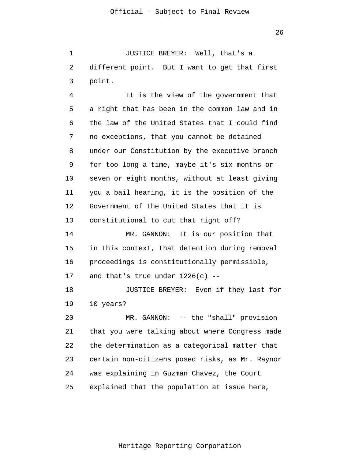1 2 3 JUSTICE BREYER: Well, that's a different point. But I want to get that first point.

4 5 6 7 8 9 10 11 12 13 14 15 16 17 18 19 20 It is the view of the government that a right that has been in the common law and in the law of the United States that I could find no exceptions, that you cannot be detained under our Constitution by the executive branch for too long a time, maybe it's six months or seven or eight months, without at least giving you a bail hearing, it is the position of the Government of the United States that it is constitutional to cut that right off? MR. GANNON: It is our position that in this context, that detention during removal proceedings is constitutionally permissible, and that's true under  $1226(c)$  --JUSTICE BREYER: Even if they last for 10 years? MR. GANNON: -- the "shall" provision

21 22 23 24 25 that you were talking about where Congress made the determination as a categorical matter that certain non-citizens posed risks, as Mr. Raynor was explaining in Guzman Chavez, the Court explained that the population at issue here,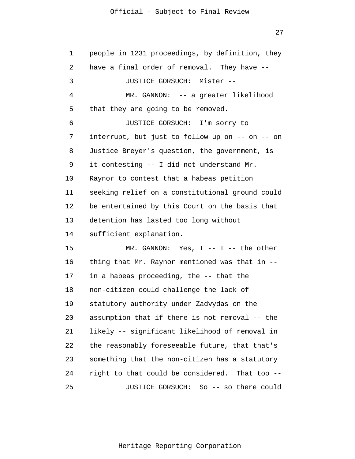## Official - Subject to Final Review

| 1  | people in 1231 proceedings, by definition, they |
|----|-------------------------------------------------|
| 2  | have a final order of removal. They have --     |
| 3  | JUSTICE GORSUCH: Mister --                      |
| 4  | MR. GANNON: -- a greater likelihood             |
| 5  | that they are going to be removed.              |
| 6  | JUSTICE GORSUCH: I'm sorry to                   |
| 7  | interrupt, but just to follow up on -- on -- on |
| 8  | Justice Breyer's question, the government, is   |
| 9  | it contesting -- I did not understand Mr.       |
| 10 | Raynor to contest that a habeas petition        |
| 11 | seeking relief on a constitutional ground could |
| 12 | be entertained by this Court on the basis that  |
| 13 | detention has lasted too long without           |
| 14 | sufficient explanation.                         |
| 15 | MR. GANNON: Yes, I -- I -- the other            |
| 16 | thing that Mr. Raynor mentioned was that in --  |
| 17 | in a habeas proceeding, the -- that the         |
| 18 | non-citizen could challenge the lack of         |
| 19 | statutory authority under Zadvydas on the       |
| 20 | assumption that if there is not removal -- the  |
| 21 | likely -- significant likelihood of removal in  |
| 22 | the reasonably foreseeable future, that that's  |
| 23 | something that the non-citizen has a statutory  |
| 24 | right to that could be considered. That too --  |
| 25 | JUSTICE GORSUCH: So -- so there could           |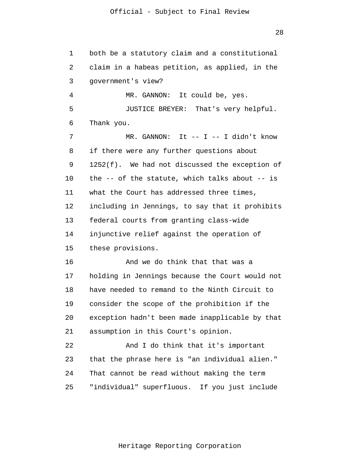1 2 3 4 5 6 7 8 9 10 11 12 13 14 15 16 17 18 19 20 21 22 23 24 25 both be a statutory claim and a constitutional claim in a habeas petition, as applied, in the government's view? MR. GANNON: It could be, yes. JUSTICE BREYER: That's very helpful. Thank you. MR. GANNON: It -- I -- I didn't know if there were any further questions about 1252(f). We had not discussed the exception of the -- of the statute, which talks about -- is what the Court has addressed three times, including in Jennings, to say that it prohibits federal courts from granting class-wide injunctive relief against the operation of these provisions. And we do think that that was a holding in Jennings because the Court would not have needed to remand to the Ninth Circuit to consider the scope of the prohibition if the exception hadn't been made inapplicable by that assumption in this Court's opinion. And I do think that it's important that the phrase here is "an individual alien." That cannot be read without making the term "individual" superfluous. If you just include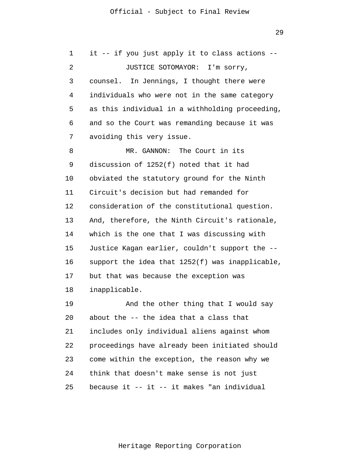1 2 3 4 5 6 7 8 9 10 11 12 13 14 15 16 17 18 19 20 21 22 23 24 25 it -- if you just apply it to class actions -- JUSTICE SOTOMAYOR: I'm sorry, counsel. In Jennings, I thought there were individuals who were not in the same category as this individual in a withholding proceeding, and so the Court was remanding because it was avoiding this very issue. MR. GANNON: The Court in its discussion of 1252(f) noted that it had obviated the statutory ground for the Ninth Circuit's decision but had remanded for consideration of the constitutional question. And, therefore, the Ninth Circuit's rationale, which is the one that I was discussing with Justice Kagan earlier, couldn't support the - support the idea that 1252(f) was inapplicable, but that was because the exception was inapplicable. And the other thing that I would say about the -- the idea that a class that includes only individual aliens against whom proceedings have already been initiated should come within the exception, the reason why we think that doesn't make sense is not just because it -- it -- it makes "an individual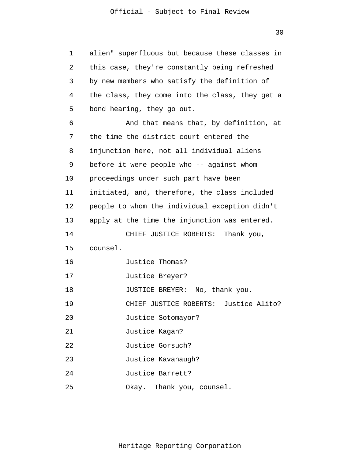## Official - Subject to Final Review

| 1  | alien" superfluous but because these classes in |
|----|-------------------------------------------------|
| 2  | this case, they're constantly being refreshed   |
| 3  | by new members who satisfy the definition of    |
| 4  | the class, they come into the class, they get a |
| 5  | bond hearing, they go out.                      |
| 6  | And that means that, by definition, at          |
| 7  | the time the district court entered the         |
| 8  | injunction here, not all individual aliens      |
| 9  | before it were people who -- against whom       |
| 10 | proceedings under such part have been           |
| 11 | initiated, and, therefore, the class included   |
| 12 | people to whom the individual exception didn't  |
| 13 | apply at the time the injunction was entered.   |
| 14 | CHIEF JUSTICE ROBERTS: Thank you,               |
| 15 | counsel.                                        |
| 16 | Justice Thomas?                                 |
| 17 | Justice Breyer?                                 |
| 18 | JUSTICE BREYER: No, thank you.                  |
| 19 | CHIEF JUSTICE ROBERTS: Justice Alito?           |
| 20 | Justice Sotomayor?                              |
| 21 | Justice Kagan?                                  |
| 22 | Justice Gorsuch?                                |
| 23 | Justice Kavanaugh?                              |
| 24 | Justice Barrett?                                |
| 25 | Okay. Thank you, counsel.                       |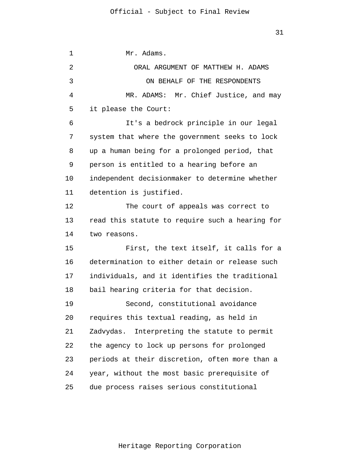1 2 3 4 5 6 7 8 9 10 11 12 13 14 15 16 17 18 19 20 21 22 23 24 25 Mr. Adams. ORAL ARGUMENT OF MATTHEW H. ADAMS ON BEHALF OF THE RESPONDENTS MR. ADAMS: Mr. Chief Justice, and may it please the Court: It's a bedrock principle in our legal system that where the government seeks to lock up a human being for a prolonged period, that person is entitled to a hearing before an independent decisionmaker to determine whether detention is justified. The court of appeals was correct to read this statute to require such a hearing for two reasons. First, the text itself, it calls for a determination to either detain or release such individuals, and it identifies the traditional bail hearing criteria for that decision. Second, constitutional avoidance requires this textual reading, as held in Zadvydas. Interpreting the statute to permit the agency to lock up persons for prolonged periods at their discretion, often more than a year, without the most basic prerequisite of due process raises serious constitutional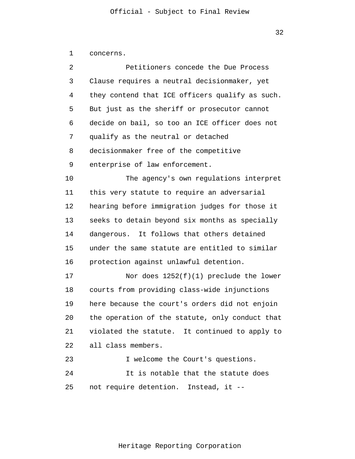1 concerns.

| 2  | Petitioners concede the Due Process             |
|----|-------------------------------------------------|
| 3  | Clause requires a neutral decisionmaker, yet    |
| 4  | they contend that ICE officers qualify as such. |
| 5  | But just as the sheriff or prosecutor cannot    |
| 6  | decide on bail, so too an ICE officer does not  |
| 7  | qualify as the neutral or detached              |
| 8  | decisionmaker free of the competitive           |
| 9  | enterprise of law enforcement.                  |
| 10 | The agency's own regulations interpret          |
| 11 | this very statute to require an adversarial     |
| 12 | hearing before immigration judges for those it  |
| 13 | seeks to detain beyond six months as specially  |
| 14 | dangerous. It follows that others detained      |
| 15 | under the same statute are entitled to similar  |
| 16 | protection against unlawful detention.          |
| 17 | Nor does $1252(f)(1)$ preclude the lower        |
| 18 | courts from providing class-wide injunctions    |
| 19 | here because the court's orders did not enjoin  |
| 20 | the operation of the statute, only conduct that |
| 21 | violated the statute. It continued to apply to  |
| 22 | all class members.                              |
| 23 | I welcome the Court's questions.                |
| 24 | It is notable that the statute does             |
| 25 | not require detention. Instead, it --           |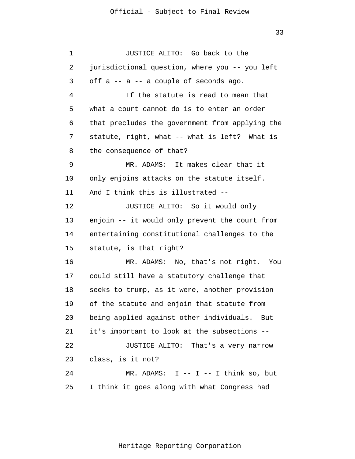1 2 3 4 5 6 7 8 9 10 11 12 13 14 15 16 17 18 19 20 21 22 23 24 25 JUSTICE ALITO: Go back to the jurisdictional question, where you -- you left off  $a$  --  $a$  -- a couple of seconds ago. If the statute is read to mean that what a court cannot do is to enter an order that precludes the government from applying the statute, right, what -- what is left? What is the consequence of that? MR. ADAMS: It makes clear that it only enjoins attacks on the statute itself. And I think this is illustrated -- JUSTICE ALITO: So it would only enjoin -- it would only prevent the court from entertaining constitutional challenges to the statute, is that right? MR. ADAMS: No, that's not right. You could still have a statutory challenge that seeks to trump, as it were, another provision of the statute and enjoin that statute from being applied against other individuals. But it's important to look at the subsections -- JUSTICE ALITO: That's a very narrow class, is it not? MR. ADAMS:  $I$  --  $I$  --  $I$  think so, but I think it goes along with what Congress had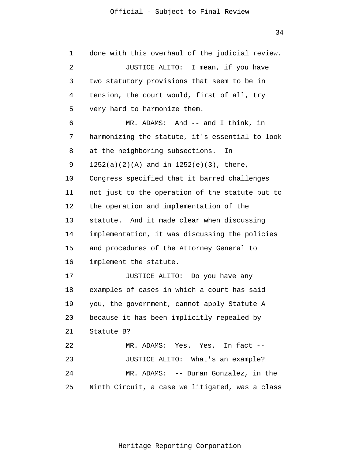1 2 3 4 5 6 7 8 9 10 11 12 13 14 15 16 17 18 19 20 21 22 23 24 25 done with this overhaul of the judicial review. JUSTICE ALITO: I mean, if you have two statutory provisions that seem to be in tension, the court would, first of all, try very hard to harmonize them. MR. ADAMS: And -- and I think, in harmonizing the statute, it's essential to look at the neighboring subsections. In 1252(a)(2)(A) and in 1252(e)(3), there, Congress specified that it barred challenges not just to the operation of the statute but to the operation and implementation of the statute. And it made clear when discussing implementation, it was discussing the policies and procedures of the Attorney General to implement the statute. JUSTICE ALITO: Do you have any examples of cases in which a court has said you, the government, cannot apply Statute A because it has been implicitly repealed by Statute B? MR. ADAMS: Yes. Yes. In fact -- JUSTICE ALITO: What's an example? MR. ADAMS: -- Duran Gonzalez, in the Ninth Circuit, a case we litigated, was a class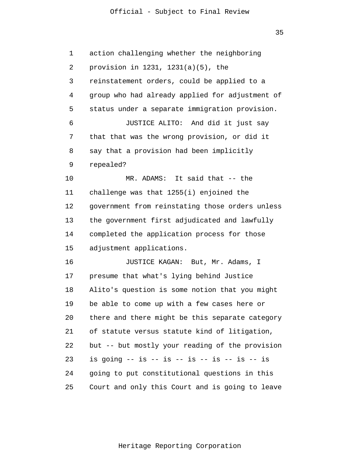#### Official - Subject to Final Review

35

1 2 3 4 5 6 7 8 9 10 11 12 13 14 15 16 17 18 19 20 21 22 23 24 25 action challenging whether the neighboring provision in 1231, 1231(a)(5), the reinstatement orders, could be applied to a group who had already applied for adjustment of status under a separate immigration provision. JUSTICE ALITO: And did it just say that that was the wrong provision, or did it say that a provision had been implicitly repealed? MR. ADAMS: It said that -- the challenge was that 1255(i) enjoined the government from reinstating those orders unless the government first adjudicated and lawfully completed the application process for those adjustment applications. JUSTICE KAGAN: But, Mr. Adams, I presume that what's lying behind Justice Alito's question is some notion that you might be able to come up with a few cases here or there and there might be this separate category of statute versus statute kind of litigation, but -- but mostly your reading of the provision is going  $-$  is  $-$  is  $-$  is  $-$  is  $-$  is  $-$  is  $-$  is going to put constitutional questions in this Court and only this Court and is going to leave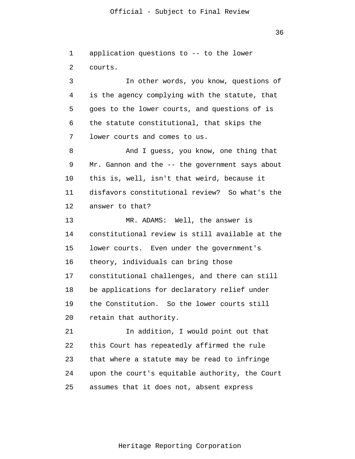36

1 2 3 4 5 6 7 8 9 10 11 12 13 14 15 16 17 18 19 20 21 22 23 24 25 application questions to -- to the lower courts. In other words, you know, questions of is the agency complying with the statute, that goes to the lower courts, and questions of is the statute constitutional, that skips the lower courts and comes to us. And I guess, you know, one thing that Mr. Gannon and the -- the government says about this is, well, isn't that weird, because it disfavors constitutional review? So what's the answer to that? MR. ADAMS: Well, the answer is constitutional review is still available at the lower courts. Even under the government's theory, individuals can bring those constitutional challenges, and there can still be applications for declaratory relief under the Constitution. So the lower courts still retain that authority. In addition, I would point out that this Court has repeatedly affirmed the rule that where a statute may be read to infringe upon the court's equitable authority, the Court assumes that it does not, absent express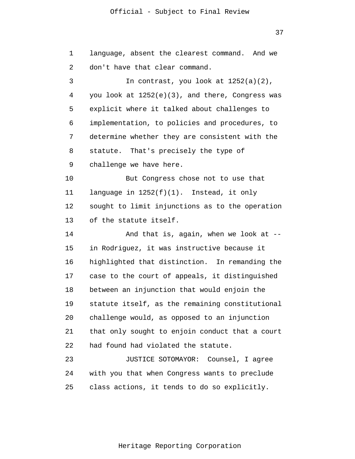37

1 2 3 4 5 6 7 8 9 10 11 12 13 14 15 16 17 18 19 20 21 22 23 24 25 language, absent the clearest command. And we don't have that clear command. In contrast, you look at 1252(a)(2), you look at 1252(e)(3), and there, Congress was explicit where it talked about challenges to implementation, to policies and procedures, to determine whether they are consistent with the statute. That's precisely the type of challenge we have here. But Congress chose not to use that language in 1252(f)(1). Instead, it only sought to limit injunctions as to the operation of the statute itself. And that is, again, when we look at - in Rodriguez, it was instructive because it highlighted that distinction. In remanding the case to the court of appeals, it distinguished between an injunction that would enjoin the statute itself, as the remaining constitutional challenge would, as opposed to an injunction that only sought to enjoin conduct that a court had found had violated the statute. JUSTICE SOTOMAYOR: Counsel, I agree with you that when Congress wants to preclude class actions, it tends to do so explicitly.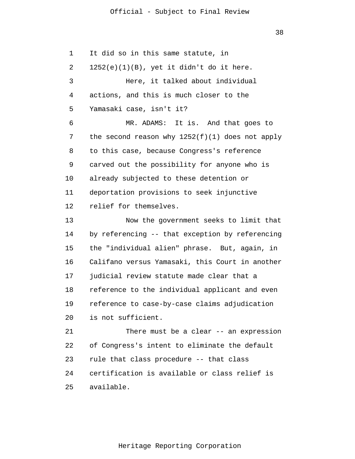1 2 3 4 5 6 7 8 9 10 11 12 13 14 15 16 17 18 19 20 21 22 23 24 25 It did so in this same statute, in  $1252(e)(1)(B)$ , yet it didn't do it here. Here, it talked about individual actions, and this is much closer to the Yamasaki case, isn't it? MR. ADAMS: It is. And that goes to the second reason why  $1252(f)(1)$  does not apply to this case, because Congress's reference carved out the possibility for anyone who is already subjected to these detention or deportation provisions to seek injunctive relief for themselves. Now the government seeks to limit that by referencing -- that exception by referencing the "individual alien" phrase. But, again, in Califano versus Yamasaki, this Court in another judicial review statute made clear that a reference to the individual applicant and even reference to case-by-case claims adjudication is not sufficient. There must be a clear -- an expression of Congress's intent to eliminate the default rule that class procedure -- that class certification is available or class relief is available.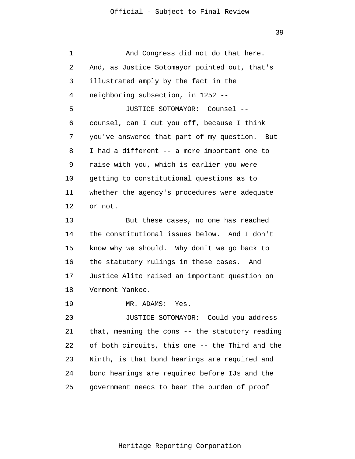1 2 3 4 5 6 7 8 9 10 11 12 13 14 15 16 17 18 19 20 21 22 23 24 25 And Congress did not do that here. And, as Justice Sotomayor pointed out, that's illustrated amply by the fact in the neighboring subsection, in 1252 -- JUSTICE SOTOMAYOR: Counsel - counsel, can I cut you off, because I think you've answered that part of my question. But I had a different -- a more important one to raise with you, which is earlier you were getting to constitutional questions as to whether the agency's procedures were adequate or not. But these cases, no one has reached the constitutional issues below. And I don't know why we should. Why don't we go back to the statutory rulings in these cases. And Justice Alito raised an important question on Vermont Yankee. MR. ADAMS: Yes. JUSTICE SOTOMAYOR: Could you address that, meaning the cons -- the statutory reading of both circuits, this one -- the Third and the Ninth, is that bond hearings are required and bond hearings are required before IJs and the government needs to bear the burden of proof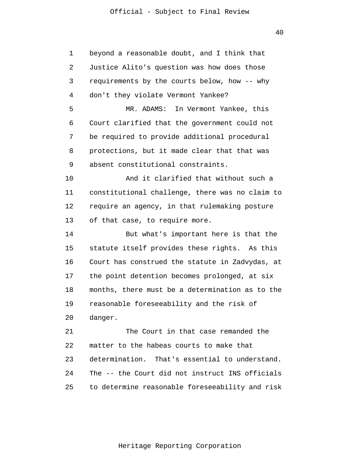40

| 1  | beyond a reasonable doubt, and I think that     |
|----|-------------------------------------------------|
| 2  | Justice Alito's question was how does those     |
| 3  | requirements by the courts below, how -- why    |
| 4  | don't they violate Vermont Yankee?              |
| 5  | MR. ADAMS: In Vermont Yankee, this              |
| 6  | Court clarified that the government could not   |
| 7  | be required to provide additional procedural    |
| 8  | protections, but it made clear that that was    |
| 9  | absent constitutional constraints.              |
| 10 | And it clarified that without such a            |
| 11 | constitutional challenge, there was no claim to |
| 12 | require an agency, in that rulemaking posture   |
| 13 | of that case, to require more.                  |
| 14 | But what's important here is that the           |
| 15 | statute itself provides these rights. As this   |
| 16 | Court has construed the statute in Zadvydas, at |
| 17 | the point detention becomes prolonged, at six   |
| 18 | months, there must be a determination as to the |
| 19 | reasonable foreseeability and the risk of       |
| 20 | danger.                                         |
| 21 | The Court in that case remanded the             |
| 22 | matter to the habeas courts to make that        |
| 23 | determination. That's essential to understand.  |
| 24 | The -- the Court did not instruct INS officials |
| 25 | to determine reasonable foreseeability and risk |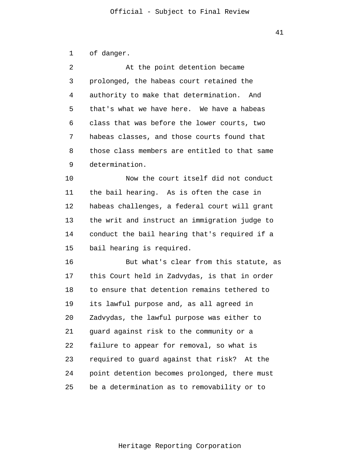| of danger. |  |
|------------|--|
|------------|--|

| $\mathfrak{D}$ | At the point detention became                 |
|----------------|-----------------------------------------------|
| 3              | prolonged, the habeas court retained the      |
| 4              | authority to make that determination. And     |
| 5              | that's what we have here. We have a habeas    |
| 6              | class that was before the lower courts, two   |
| 7              | habeas classes, and those courts found that   |
| 8              | those class members are entitled to that same |
| 9              | determination.                                |
| 10             | Now the court itself did not conduct          |
| 11             | the bail hearing. As is often the case in     |

12 13 14 15 habeas challenges, a federal court will grant the writ and instruct an immigration judge to conduct the bail hearing that's required if a bail hearing is required.

16 17 18 19 20 21 22 23 24 25 But what's clear from this statute, as this Court held in Zadvydas, is that in order to ensure that detention remains tethered to its lawful purpose and, as all agreed in Zadvydas, the lawful purpose was either to guard against risk to the community or a failure to appear for removal, so what is required to guard against that risk? At the point detention becomes prolonged, there must be a determination as to removability or to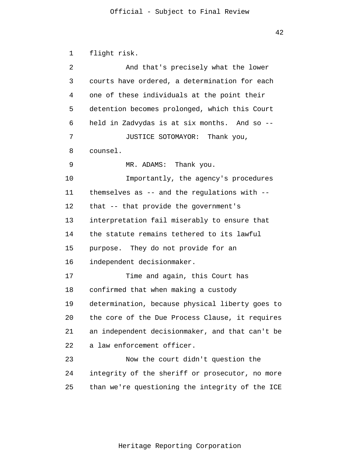1 2 3 4 5 6 7 8 9 10 11 12 13 14 15 16 17 18 19 20 21 22 23 24 25 flight risk. And that's precisely what the lower courts have ordered, a determination for each one of these individuals at the point their detention becomes prolonged, which this Court held in Zadvydas is at six months. And so -- JUSTICE SOTOMAYOR: Thank you, counsel. MR. ADAMS: Thank you. Importantly, the agency's procedures themselves as -- and the regulations with - that -- that provide the government's interpretation fail miserably to ensure that the statute remains tethered to its lawful purpose. They do not provide for an independent decisionmaker. Time and again, this Court has confirmed that when making a custody determination, because physical liberty goes to the core of the Due Process Clause, it requires an independent decisionmaker, and that can't be a law enforcement officer. Now the court didn't question the integrity of the sheriff or prosecutor, no more than we're questioning the integrity of the ICE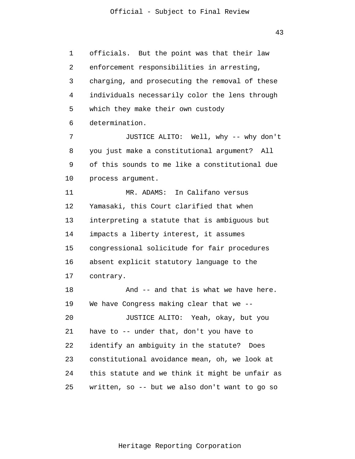43

1 2 3 4 5 6 7 8 9 10 11 12 13 14 15 16 17 officials. But the point was that their law enforcement responsibilities in arresting, charging, and prosecuting the removal of these individuals necessarily color the lens through which they make their own custody determination. JUSTICE ALITO: Well, why -- why don't you just make a constitutional argument? All of this sounds to me like a constitutional due process argument. MR. ADAMS: In Califano versus Yamasaki, this Court clarified that when interpreting a statute that is ambiguous but impacts a liberty interest, it assumes congressional solicitude for fair procedures absent explicit statutory language to the contrary. And -- and that is what we have here.

18 19 20 21 22 23 24 25 We have Congress making clear that we --JUSTICE ALITO: Yeah, okay, but you have to -- under that, don't you have to identify an ambiguity in the statute? Does constitutional avoidance mean, oh, we look at this statute and we think it might be unfair as written, so -- but we also don't want to go so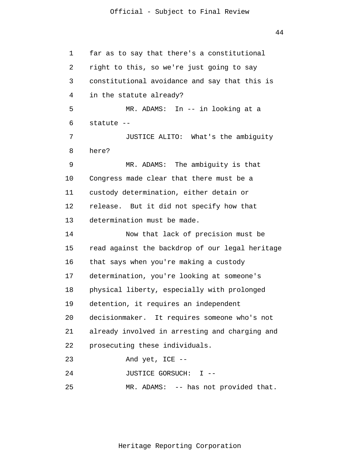1 2 3 4 5 6 7 8 9 10 11 12 13 14 15 16 17 18 19 20 21 22 23 24 25 far as to say that there's a constitutional right to this, so we're just going to say constitutional avoidance and say that this is in the statute already? MR. ADAMS: In -- in looking at a statute -- JUSTICE ALITO: What's the ambiguity here? MR. ADAMS: The ambiguity is that Congress made clear that there must be a custody determination, either detain or release. But it did not specify how that determination must be made. Now that lack of precision must be read against the backdrop of our legal heritage that says when you're making a custody determination, you're looking at someone's physical liberty, especially with prolonged detention, it requires an independent decisionmaker. It requires someone who's not already involved in arresting and charging and prosecuting these individuals. And yet, ICE -- JUSTICE GORSUCH: I -- MR. ADAMS: -- has not provided that.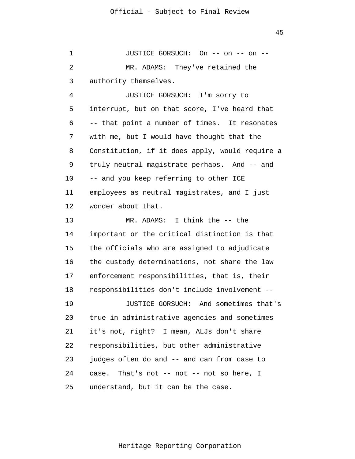1 2 3 JUSTICE GORSUCH: On -- on -- on -- MR. ADAMS: They've retained the authority themselves.

4 5 6 7 8 9 10 11 12 JUSTICE GORSUCH: I'm sorry to interrupt, but on that score, I've heard that -- that point a number of times. It resonates with me, but I would have thought that the Constitution, if it does apply, would require a truly neutral magistrate perhaps. And -- and -- and you keep referring to other ICE employees as neutral magistrates, and I just wonder about that.

13 14 15 16 17 18 19 20 21 22 23 24 25 MR. ADAMS: I think the -- the important or the critical distinction is that the officials who are assigned to adjudicate the custody determinations, not share the law enforcement responsibilities, that is, their responsibilities don't include involvement -- JUSTICE GORSUCH: And sometimes that's true in administrative agencies and sometimes it's not, right? I mean, ALJs don't share responsibilities, but other administrative judges often do and -- and can from case to case. That's not -- not -- not so here, I understand, but it can be the case.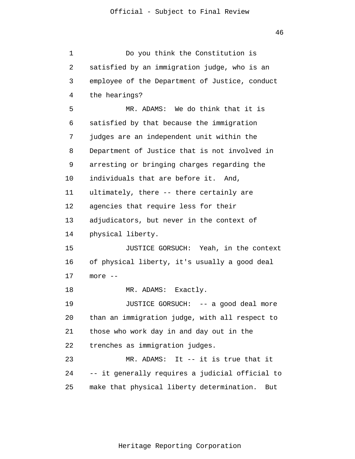1 2 3 4 5 6 7 8 9 10 11 12 13 14 15 16 17 18 19 20 21 22 23 24 25 Do you think the Constitution is satisfied by an immigration judge, who is an employee of the Department of Justice, conduct the hearings? MR. ADAMS: We do think that it is satisfied by that because the immigration judges are an independent unit within the Department of Justice that is not involved in arresting or bringing charges regarding the individuals that are before it. And, ultimately, there -- there certainly are agencies that require less for their adjudicators, but never in the context of physical liberty. JUSTICE GORSUCH: Yeah, in the context of physical liberty, it's usually a good deal more -- MR. ADAMS: Exactly. JUSTICE GORSUCH: -- a good deal more than an immigration judge, with all respect to those who work day in and day out in the trenches as immigration judges. MR. ADAMS: It -- it is true that it -- it generally requires a judicial official to make that physical liberty determination. But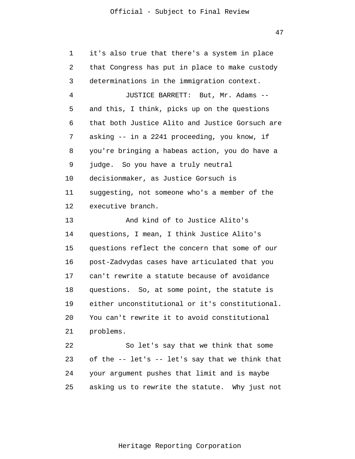| 1  | it's also true that there's a system in place   |
|----|-------------------------------------------------|
| 2  | that Congress has put in place to make custody  |
| 3  | determinations in the immigration context.      |
| 4  | JUSTICE BARRETT: But, Mr. Adams --              |
| 5  | and this, I think, picks up on the questions    |
| 6  | that both Justice Alito and Justice Gorsuch are |
| 7  | asking -- in a 2241 proceeding, you know, if    |
| 8  | you're bringing a habeas action, you do have a  |
| 9  | judge. So you have a truly neutral              |
| 10 | decisionmaker, as Justice Gorsuch is            |
| 11 | suggesting, not someone who's a member of the   |
| 12 | executive branch.                               |
| 13 | And kind of to Justice Alito's                  |
| 14 | questions, I mean, I think Justice Alito's      |
| 15 | questions reflect the concern that some of our  |
| 16 | post-Zadvydas cases have articulated that you   |
| 17 | can't rewrite a statute because of avoidance    |
| 18 | questions. So, at some point, the statute is    |
| 19 | either unconstitutional or it's constitutional. |
| 20 | You can't rewrite it to avoid constitutional    |
| 21 | problems.                                       |
| 22 | So let's say that we think that some            |
| 23 | of the -- let's -- let's say that we think that |
| 24 | your argument pushes that limit and is maybe    |
| 25 | asking us to rewrite the statute. Why just not  |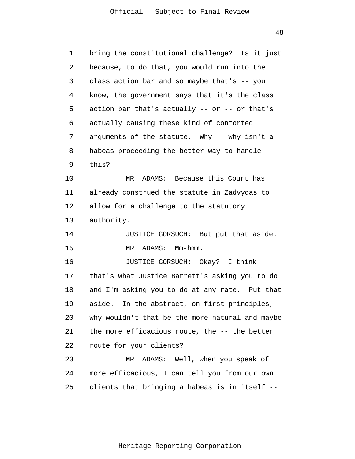1 2 3 4 5 6 7 8 9 10 11 12 13 14 15 16 17 18 19 20 21 22 23 24 25 bring the constitutional challenge? Is it just because, to do that, you would run into the class action bar and so maybe that's -- you know, the government says that it's the class action bar that's actually  $--$  or  $--$  or that's actually causing these kind of contorted arguments of the statute. Why -- why isn't a habeas proceeding the better way to handle this? MR. ADAMS: Because this Court has already construed the statute in Zadvydas to allow for a challenge to the statutory authority. JUSTICE GORSUCH: But put that aside. MR. ADAMS: Mm-hmm. JUSTICE GORSUCH: Okay? I think that's what Justice Barrett's asking you to do and I'm asking you to do at any rate. Put that aside. In the abstract, on first principles, why wouldn't that be the more natural and maybe the more efficacious route, the -- the better route for your clients? MR. ADAMS: Well, when you speak of more efficacious, I can tell you from our own clients that bringing a habeas is in itself --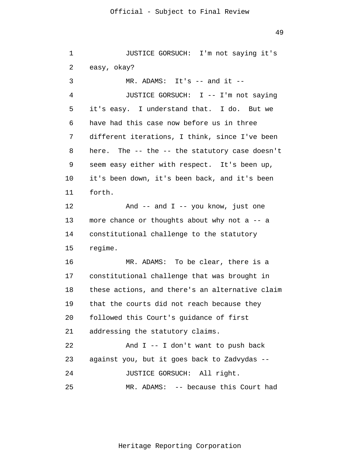1 2 3 4 5 6 7 8 9 10 11 12 13 14 15 16 17 18 19 20 21 22 23 24 25 JUSTICE GORSUCH: I'm not saying it's easy, okay?  $MR.$  ADAMS: It's  $--$  and it  $--$ JUSTICE GORSUCH: I -- I'm not saying it's easy. I understand that. I do. But we have had this case now before us in three different iterations, I think, since I've been here. The -- the -- the statutory case doesn't seem easy either with respect. It's been up, it's been down, it's been back, and it's been forth. And  $--$  and  $I$   $--$  you know, just one more chance or thoughts about why not a -- a constitutional challenge to the statutory regime. MR. ADAMS: To be clear, there is a constitutional challenge that was brought in these actions, and there's an alternative claim that the courts did not reach because they followed this Court's guidance of first addressing the statutory claims. And I -- I don't want to push back against you, but it goes back to Zadvydas -- JUSTICE GORSUCH: All right. MR. ADAMS: -- because this Court had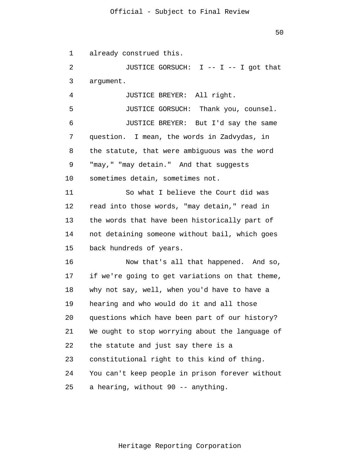1 already construed this.

2 3 JUSTICE GORSUCH: I -- I -- I got that argument.

4 JUSTICE BREYER: All right.

5 6 7 8 9 10 JUSTICE GORSUCH: Thank you, counsel. JUSTICE BREYER: But I'd say the same question. I mean, the words in Zadvydas, in the statute, that were ambiguous was the word "may," "may detain." And that suggests sometimes detain, sometimes not.

11 12 13 14 15 So what I believe the Court did was read into those words, "may detain," read in the words that have been historically part of not detaining someone without bail, which goes back hundreds of years.

16 17 18 19 20 21 22 23 24 25 Now that's all that happened. And so, if we're going to get variations on that theme, why not say, well, when you'd have to have a hearing and who would do it and all those questions which have been part of our history? We ought to stop worrying about the language of the statute and just say there is a constitutional right to this kind of thing. You can't keep people in prison forever without a hearing, without 90 -- anything.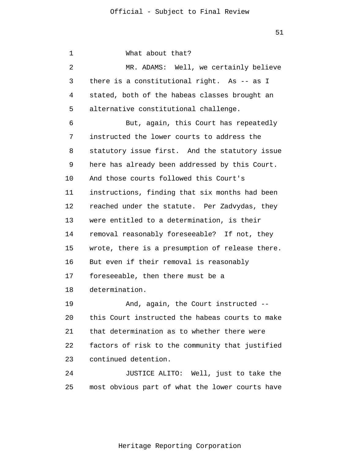1 2 3 4 5 6 7 8 9 10 11 12 13 14 15 16 17 18 19 20 21 22 23 24 25 What about that? MR. ADAMS: Well, we certainly believe there is a constitutional right. As -- as I stated, both of the habeas classes brought an alternative constitutional challenge. But, again, this Court has repeatedly instructed the lower courts to address the statutory issue first. And the statutory issue here has already been addressed by this Court. And those courts followed this Court's instructions, finding that six months had been reached under the statute. Per Zadvydas, they were entitled to a determination, is their removal reasonably foreseeable? If not, they wrote, there is a presumption of release there. But even if their removal is reasonably foreseeable, then there must be a determination. And, again, the Court instructed - this Court instructed the habeas courts to make that determination as to whether there were factors of risk to the community that justified continued detention. JUSTICE ALITO: Well, just to take the most obvious part of what the lower courts have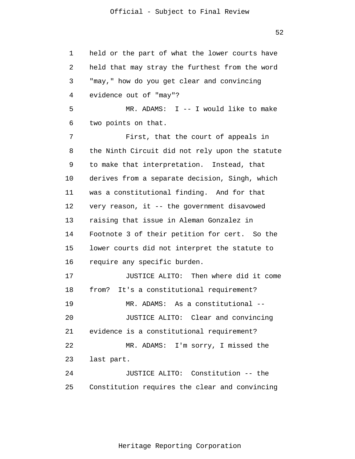1 2 3 4 5 6 7 8 9 10 11 12 13 14 15 16 17 18 19 20 21 22 23 24 25 held or the part of what the lower courts have held that may stray the furthest from the word "may," how do you get clear and convincing evidence out of "may"? MR. ADAMS: I -- I would like to make two points on that. First, that the court of appeals in the Ninth Circuit did not rely upon the statute to make that interpretation. Instead, that derives from a separate decision, Singh, which was a constitutional finding. And for that very reason, it -- the government disavowed raising that issue in Aleman Gonzalez in Footnote 3 of their petition for cert. So the lower courts did not interpret the statute to require any specific burden. JUSTICE ALITO: Then where did it come from? It's a constitutional requirement? MR. ADAMS: As a constitutional -- JUSTICE ALITO: Clear and convincing evidence is a constitutional requirement? MR. ADAMS: I'm sorry, I missed the last part. JUSTICE ALITO: Constitution -- the Constitution requires the clear and convincing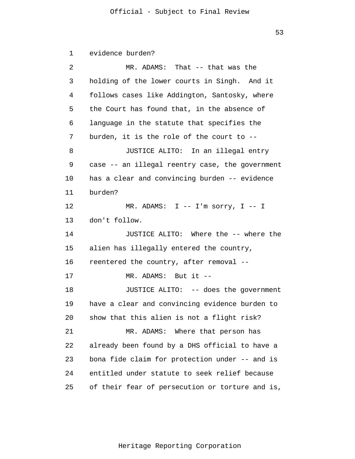1 2 3 4 5 6 7 8 9 10 11 12 13 14 15 16 17 18 19 20 21 22 23 24 25 evidence burden? MR. ADAMS: That -- that was the holding of the lower courts in Singh. And it follows cases like Addington, Santosky, where the Court has found that, in the absence of language in the statute that specifies the burden, it is the role of the court to -- JUSTICE ALITO: In an illegal entry case -- an illegal reentry case, the government has a clear and convincing burden -- evidence burden? MR. ADAMS: I -- I'm sorry, I -- I don't follow. JUSTICE ALITO: Where the -- where the alien has illegally entered the country, reentered the country, after removal -- MR. ADAMS: But it -- JUSTICE ALITO: -- does the government have a clear and convincing evidence burden to show that this alien is not a flight risk? MR. ADAMS: Where that person has already been found by a DHS official to have a bona fide claim for protection under -- and is entitled under statute to seek relief because of their fear of persecution or torture and is,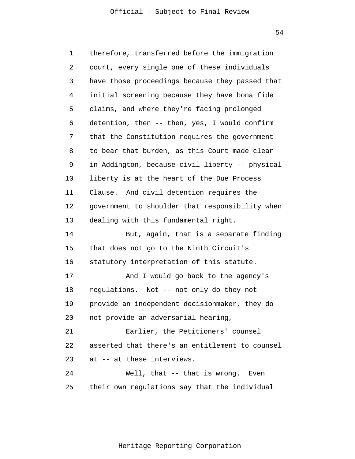54

1 2 3 4 5 6 7 8 9 10 11 12 13 14 15 16 17 18 19 20 21 22 23 24 25 therefore, transferred before the immigration court, every single one of these individuals have those proceedings because they passed that initial screening because they have bona fide claims, and where they're facing prolonged detention, then -- then, yes, I would confirm that the Constitution requires the government to bear that burden, as this Court made clear in Addington, because civil liberty -- physical liberty is at the heart of the Due Process Clause. And civil detention requires the government to shoulder that responsibility when dealing with this fundamental right. But, again, that is a separate finding that does not go to the Ninth Circuit's statutory interpretation of this statute. And I would go back to the agency's regulations. Not -- not only do they not provide an independent decisionmaker, they do not provide an adversarial hearing, Earlier, the Petitioners' counsel asserted that there's an entitlement to counsel at -- at these interviews. Well, that -- that is wrong. Even their own regulations say that the individual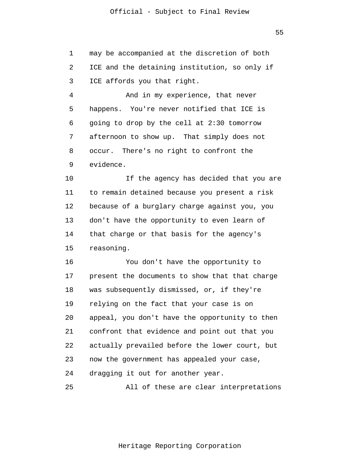1 2 3 may be accompanied at the discretion of both ICE and the detaining institution, so only if ICE affords you that right.

4 5 6 7 8 9 And in my experience, that never happens. You're never notified that ICE is going to drop by the cell at 2:30 tomorrow afternoon to show up. That simply does not occur. There's no right to confront the evidence.

10 11 12 13 14 15 If the agency has decided that you are to remain detained because you present a risk because of a burglary charge against you, you don't have the opportunity to even learn of that charge or that basis for the agency's reasoning.

16 17 18 19 20 21 22 23 24 You don't have the opportunity to present the documents to show that that charge was subsequently dismissed, or, if they're relying on the fact that your case is on appeal, you don't have the opportunity to then confront that evidence and point out that you actually prevailed before the lower court, but now the government has appealed your case, dragging it out for another year.

25 All of these are clear interpretations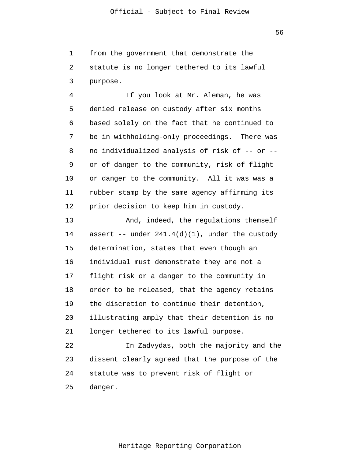1 2 3 from the government that demonstrate the statute is no longer tethered to its lawful purpose.

4 5 6 7 8 9 10 11 12 If you look at Mr. Aleman, he was denied release on custody after six months based solely on the fact that he continued to be in withholding-only proceedings. There was no individualized analysis of risk of -- or - or of danger to the community, risk of flight or danger to the community. All it was was a rubber stamp by the same agency affirming its prior decision to keep him in custody.

13 14 15 16 17 18 19 20 21 22 23 And, indeed, the regulations themself assert  $--$  under  $241.4(d)(1)$ , under the custody determination, states that even though an individual must demonstrate they are not a flight risk or a danger to the community in order to be released, that the agency retains the discretion to continue their detention, illustrating amply that their detention is no longer tethered to its lawful purpose. In Zadvydas, both the majority and the dissent clearly agreed that the purpose of the

24 statute was to prevent risk of flight or

25 danger.

Heritage Reporting Corporation

56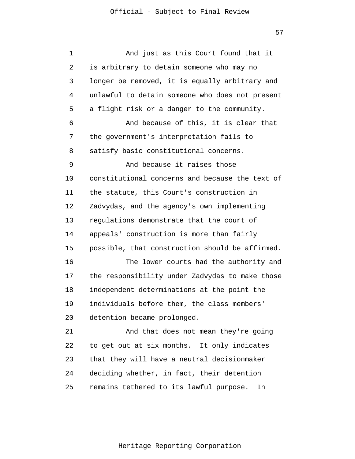| 1  | And just as this Court found that it            |
|----|-------------------------------------------------|
| 2  | is arbitrary to detain someone who may no       |
| 3  | longer be removed, it is equally arbitrary and  |
| 4  | unlawful to detain someone who does not present |
| 5  | a flight risk or a danger to the community.     |
| 6  | And because of this, it is clear that           |
| 7  | the government's interpretation fails to        |
| 8  | satisfy basic constitutional concerns.          |
| 9  | And because it raises those                     |
| 10 | constitutional concerns and because the text of |
| 11 | the statute, this Court's construction in       |
| 12 | Zadvydas, and the agency's own implementing     |
| 13 | regulations demonstrate that the court of       |
| 14 | appeals' construction is more than fairly       |
| 15 | possible, that construction should be affirmed. |
| 16 | The lower courts had the authority and          |
| 17 | the responsibility under Zadvydas to make those |
| 18 | independent determinations at the point the     |
| 19 | individuals before them, the class members'     |
| 20 | detention became prolonged.                     |
| 21 | And that does not mean they're going            |
| 22 | to get out at six months. It only indicates     |
| 23 | that they will have a neutral decisionmaker     |
| 24 | deciding whether, in fact, their detention      |
| 25 | remains tethered to its lawful purpose.<br>In   |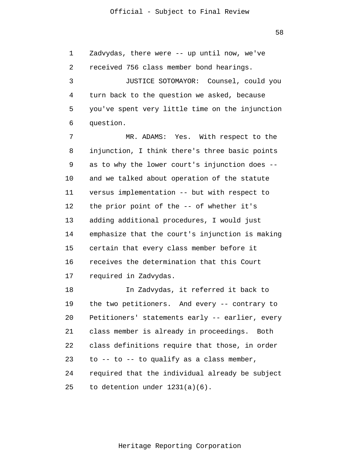1 2 3 4 5 6 Zadvydas, there were -- up until now, we've received 756 class member bond hearings. JUSTICE SOTOMAYOR: Counsel, could you turn back to the question we asked, because you've spent very little time on the injunction question.

7 8 9 10 11 12 13 14 15 16 17 MR. ADAMS: Yes. With respect to the injunction, I think there's three basic points as to why the lower court's injunction does - and we talked about operation of the statute versus implementation -- but with respect to the prior point of the -- of whether it's adding additional procedures, I would just emphasize that the court's injunction is making certain that every class member before it receives the determination that this Court required in Zadvydas.

18 19 20 21 22 23 24 25 In Zadvydas, it referred it back to the two petitioners. And every -- contrary to Petitioners' statements early -- earlier, every class member is already in proceedings. Both class definitions require that those, in order to  $--$  to  $--$  to qualify as a class member, required that the individual already be subject to detention under 1231(a)(6).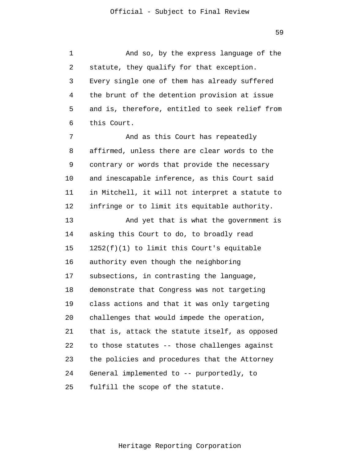1 2 3 4 5 6 7 8 9 10 11 12 13 14 15 16 17 18 19 20 21 22 23 24 25 And so, by the express language of the statute, they qualify for that exception. Every single one of them has already suffered the brunt of the detention provision at issue and is, therefore, entitled to seek relief from this Court. And as this Court has repeatedly affirmed, unless there are clear words to the contrary or words that provide the necessary and inescapable inference, as this Court said in Mitchell, it will not interpret a statute to infringe or to limit its equitable authority. And yet that is what the government is asking this Court to do, to broadly read 1252(f)(1) to limit this Court's equitable authority even though the neighboring subsections, in contrasting the language, demonstrate that Congress was not targeting class actions and that it was only targeting challenges that would impede the operation, that is, attack the statute itself, as opposed to those statutes -- those challenges against the policies and procedures that the Attorney General implemented to -- purportedly, to fulfill the scope of the statute.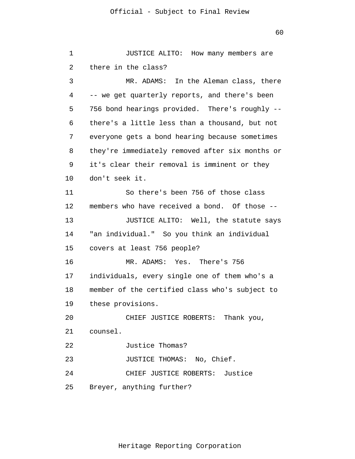```
1 
 2 
 3 
 4 
 5 
 6 
 7 
 8 
 9 
10 
11 
12 
13 
14 
15 
16 
17 
18 
19 
20 
21 
22 
23 
24 
25 
               JUSTICE ALITO: How many members are
       there in the class? 
               MR. ADAMS: In the Aleman class, there 
      -- we get quarterly reports, and there's been
       756 bond hearings provided. There's roughly --
       there's a little less than a thousand, but not
       everyone gets a bond hearing because sometimes 
      they're immediately removed after six months or 
      it's clear their removal is imminent or they 
      don't seek it. 
               So there's been 756 of those class 
      members who have received a bond. Of those --
               JUSTICE ALITO: Well, the statute says 
      "an individual." So you think an individual 
      covers at least 756 people? 
               MR. ADAMS: Yes. There's 756 
      individuals, every single one of them who's a 
      member of the certified class who's subject to 
      these provisions. 
               CHIEF JUSTICE ROBERTS: Thank you, 
      counsel. 
               Justice Thomas? 
               JUSTICE THOMAS: No, Chief. 
               CHIEF JUSTICE ROBERTS: Justice 
      Breyer, anything further?
```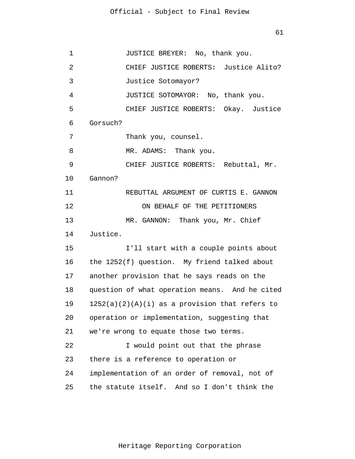| 1  | JUSTICE BREYER: No, thank you.                   |
|----|--------------------------------------------------|
| 2  | CHIEF JUSTICE ROBERTS: Justice Alito?            |
| 3  | Justice Sotomayor?                               |
| 4  | JUSTICE SOTOMAYOR: No, thank you.                |
| 5  | CHIEF JUSTICE ROBERTS: Okay. Justice             |
| 6  | Gorsuch?                                         |
| 7  | Thank you, counsel.                              |
| 8  | MR. ADAMS: Thank you.                            |
| 9  | CHIEF JUSTICE ROBERTS: Rebuttal, Mr.             |
| 10 | Gannon?                                          |
| 11 | REBUTTAL ARGUMENT OF CURTIS E. GANNON            |
| 12 | ON BEHALF OF THE PETITIONERS                     |
| 13 | MR. GANNON: Thank you, Mr. Chief                 |
| 14 | Justice.                                         |
| 15 | I'll start with a couple points about            |
| 16 | the 1252(f) question. My friend talked about     |
| 17 | another provision that he says reads on the      |
| 18 | question of what operation means. And he cited   |
| 19 | $1252(a)(2)(A)(i)$ as a provision that refers to |
| 20 | operation or implementation, suggesting that     |
| 21 | we're wrong to equate those two terms.           |
| 22 | I would point out that the phrase                |
| 23 | there is a reference to operation or             |
| 24 | implementation of an order of removal, not of    |
| 25 | the statute itself. And so I don't think the     |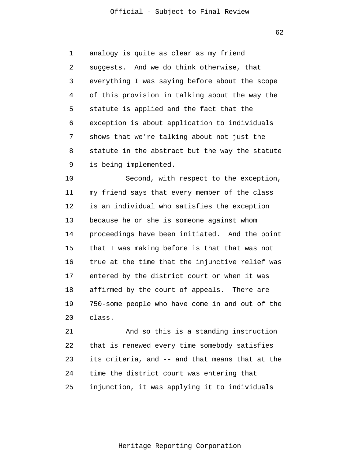1 2 3 4 5 6 7 8 9 analogy is quite as clear as my friend suggests. And we do think otherwise, that everything I was saying before about the scope of this provision in talking about the way the statute is applied and the fact that the exception is about application to individuals shows that we're talking about not just the statute in the abstract but the way the statute is being implemented.

10 11 12 13 14 15 16 17 18 19 20 Second, with respect to the exception, my friend says that every member of the class is an individual who satisfies the exception because he or she is someone against whom proceedings have been initiated. And the point that I was making before is that that was not true at the time that the injunctive relief was entered by the district court or when it was affirmed by the court of appeals. There are 750-some people who have come in and out of the class.

21 22 23 24 25 And so this is a standing instruction that is renewed every time somebody satisfies its criteria, and -- and that means that at the time the district court was entering that injunction, it was applying it to individuals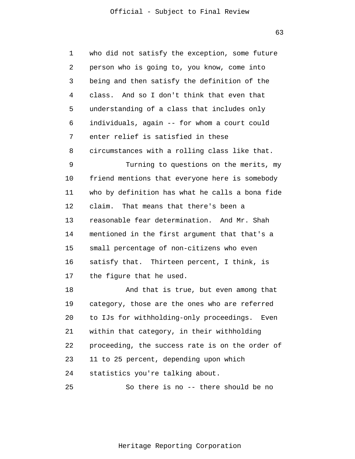1 2 3 4 5 6 7 8 9 10 11 12 13 14 15 16 17 18 19 20 21 22 23 24 25 who did not satisfy the exception, some future person who is going to, you know, come into being and then satisfy the definition of the class. And so I don't think that even that understanding of a class that includes only individuals, again -- for whom a court could enter relief is satisfied in these circumstances with a rolling class like that. Turning to questions on the merits, my friend mentions that everyone here is somebody who by definition has what he calls a bona fide claim. That means that there's been a reasonable fear determination. And Mr. Shah mentioned in the first argument that that's a small percentage of non-citizens who even satisfy that. Thirteen percent, I think, is the figure that he used. And that is true, but even among that category, those are the ones who are referred to IJs for withholding-only proceedings. Even within that category, in their withholding proceeding, the success rate is on the order of 11 to 25 percent, depending upon which statistics you're talking about. So there is no -- there should be no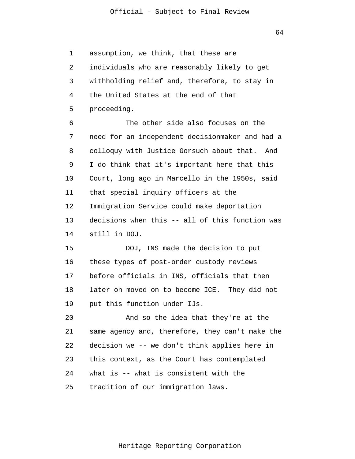1 2 3 4 5 assumption, we think, that these are individuals who are reasonably likely to get withholding relief and, therefore, to stay in the United States at the end of that proceeding.

6 7 8 9 10 11 12 13 14 The other side also focuses on the need for an independent decisionmaker and had a colloquy with Justice Gorsuch about that. And I do think that it's important here that this Court, long ago in Marcello in the 1950s, said that special inquiry officers at the Immigration Service could make deportation decisions when this -- all of this function was still in DOJ.

15 16 17 18 19 DOJ, INS made the decision to put these types of post-order custody reviews before officials in INS, officials that then later on moved on to become ICE. They did not put this function under IJs.

20 21 22 23 24 25 And so the idea that they're at the same agency and, therefore, they can't make the decision we -- we don't think applies here in this context, as the Court has contemplated what is -- what is consistent with the tradition of our immigration laws.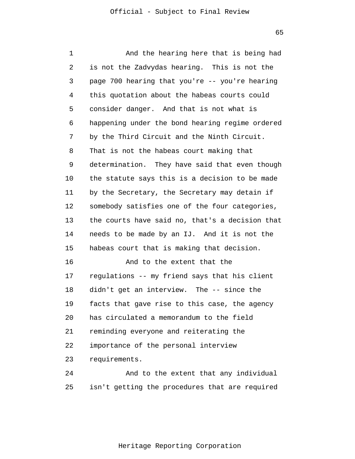1 2 3 4 5 6 7 8 9 10 11 12 13 14 15 16 17 18 19  $20^{\circ}$ 21 22 23 24 25 And the hearing here that is being had is not the Zadvydas hearing. This is not the page 700 hearing that you're -- you're hearing this quotation about the habeas courts could consider danger. And that is not what is happening under the bond hearing regime ordered by the Third Circuit and the Ninth Circuit. That is not the habeas court making that determination. They have said that even though the statute says this is a decision to be made by the Secretary, the Secretary may detain if somebody satisfies one of the four categories, the courts have said no, that's a decision that needs to be made by an IJ. And it is not the habeas court that is making that decision. And to the extent that the regulations -- my friend says that his client didn't get an interview. The -- since the facts that gave rise to this case, the agency has circulated a memorandum to the field reminding everyone and reiterating the importance of the personal interview requirements. And to the extent that any individual isn't getting the procedures that are required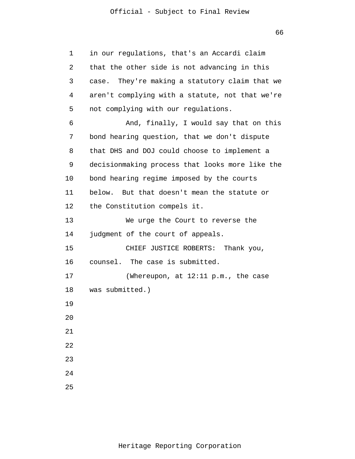| 1  | in our regulations, that's an Accardi claim       |
|----|---------------------------------------------------|
| 2  | that the other side is not advancing in this      |
| 3  | They're making a statutory claim that we<br>case. |
| 4  | aren't complying with a statute, not that we're   |
| 5  | not complying with our regulations.               |
| 6  | And, finally, I would say that on this            |
| 7  | bond hearing question, that we don't dispute      |
| 8  | that DHS and DOJ could choose to implement a      |
| 9  | decisionmaking process that looks more like the   |
| 10 | bond hearing regime imposed by the courts         |
| 11 | below. But that doesn't mean the statute or       |
| 12 | the Constitution compels it.                      |
| 13 | We urge the Court to reverse the                  |
| 14 | judgment of the court of appeals.                 |
| 15 | CHIEF JUSTICE ROBERTS: Thank you,                 |
| 16 | counsel. The case is submitted.                   |
| 17 | (Whereupon, at $12:11$ p.m., the case             |
| 18 | was submitted.)                                   |
| 19 |                                                   |
| 20 |                                                   |
| 21 |                                                   |
| 22 |                                                   |
| 23 |                                                   |
| 24 |                                                   |
| 25 |                                                   |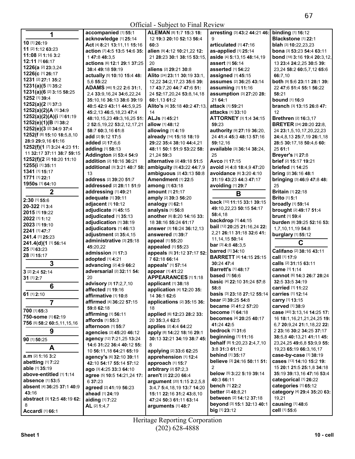| 1                                         | accompanied [1] 55:1              | ALEMAN [8] 1:7 15:3 18:                         | arresting [3] 43:2 44:21 46:          | <b>binding</b> [1] 16:12                  |
|-------------------------------------------|-----------------------------------|-------------------------------------------------|---------------------------------------|-------------------------------------------|
|                                           | acknowledge [1] 25:14             | 12 19:3 20:10 52:13 56:4                        | 9                                     | Blackstone [1] 22:1                       |
| 10 [1] 26:19                              | Act [4] 8:21 13:11,11 15:16       | 60:3                                            | articulated [1] 47:16                 | blah [3] 10:22,23,23                      |
| 11 [2] 1:12 63:23                         | action [7] 4:5 13:5 14:6 35:      | alien [9] 4:12 10:21,22 12:                     | as-applied [1] 25:14                  | <b>bona</b> [3] <b>53:23 54:4 63:11</b>   |
| 11:08 [2] 1:16 3:2                        | 147:848:3,5                       | 21 28:23 30:1 38:15 53:15,                      | aside [4] 5:13,15 48:14,19            | bond [18] 3:16 19:4 20:3,12,              |
| 12:11 [1] 66:17                           | actions [6] 12:1 29:1 37:25       | 20                                              | assert [1] 56:14                      | 13 23:4 24:2,25 30:5 39:                  |
| <b>1226(a [2] 23:3,24</b>                 | 38:4 49:18 59:19                  | aliens [2] 29:21 30:8                           | asserted [1] 54:22                    |                                           |
| 1226(c [1] 26:17                          |                                   |                                                 |                                       | 23,24 58:2 60:5,7,12 65:6                 |
| 1231 [2] 27:1 35:2                        | actually [5] 10:10 15:4 48:       | Alito [24] 23:11 30:19 33:1,                    | assigned [1] 45:15                    | 66:7,10                                   |
| 1231(a)(5 [1] 35:2                        | 5,6 55:22                         | 12,22 34:2,17,23 35:6 39:                       | assumes [2] 36:25 43:14               | both [9] 5:6 23:11 28:1 39:               |
| <b>1231(a)(6</b> [2] <b>3:15 58:25</b>    | ADAMS [46] 1:22 2:6 31:1,         | 17 43:7,20 44:7 47:6 51:                        | assuming [1] 11:16                    | 22 47:6 51:4 55:1 56:22                   |
| 1252 [1] 39:4                             | 2,4 33:9, 16, 24 34:6, 22, 24     | 24 52:17,20,24 53:8,14,18                       | assumption [3] 27:20 28:              | 58:21                                     |
|                                           | 35:10,16 36:13 38:6 39:19         | 60:1.13 61:2                                    | 21 64:1                               | bound [1] 16:9                            |
| 1252(a)(2[1]37:3                          | 40:5 42:9 43:11 44:5,9,25         | Alito's [4] 35:18 40:2 47:13,                   | attack [1] 59:21                      | branch [3] 13:15 26:8 47:                 |
| 1252(a)(2)(A [1] 34:9                     | 45:2,13 46:5,18,23 47:4           | 14                                              | attacks [1] 33:10                     | 12                                        |
| 1252(a)(2)(A)(i [1] 61:19                 | 48:10,15,23 49:3,16,25 51:        | <b>ALJs</b> [1] 45:21                           | <b>ATTORNEY [3] 1:4 34:15</b>         | <b>Brethren</b> [2] 16:3,17               |
| 1252(e)(1)(B [1] 38:2                     | 2 52:5, 19, 22 53: 2, 12, 17, 21  | allow [1] 48:12                                 | 59:23                                 | <b>BREYER</b> [24] <b>20:20 22:8,</b>     |
| <b>1252(e)(3 [2] 34:9 37:4</b>            | 58:7 60:3,16 61:8                 | allowing $[1]$ 4:19                             | authority [9] 27:19 36:20,            | 24 23:1,5,10,17,20,22,23                  |
| 1252(f [8] 15:10 18:5,8,10                | add [2] 9:12 17:5                 | already [14] 15:18 18:19                        | 24 41:4 45:3 48:13 57:16              | 24:4,8,13 25:7,19 26:1,18                 |
| 28:9 29:9.16 61:16                        | added [2] 17:6,6                  | 29:22 35:4 38:10 44:4,21                        | 59:12,16                              | 28:5 30:17,18 50:4,6 60:                  |
| 1252(f)(1 [7] 3:24 4:23 11:               | adding [1] 58:13                  | 48:11 50:1 51:9 53:22 58:                       | available [3] 36:14 38:24,            | 25 61:1                                   |
| 11 32:17 37:11 38:7 59:15                 | Addington [2] 53:4 54:9           | 21,24 59:3                                      | 25                                    | <b>Breyer's [1] 27:8</b>                  |
| 1252(f)(2 [2] 10:20 11:10                 | addition [2] 10:16 36:21          | alternative [2] 49:18 51:5                      | Avco [1] 17:15                        | brief [2] 15:17 19:21                     |
| 1255(i [1] 35:11                          | additional [3] 3:21 40:7 58:      | ambiguity [3] 43:22 44:7,9                      | avoid [4] 4:8 18:4,9 47:20            | <b>briefed</b> [1] 14:25                  |
| 1341 [1] 15:17                            | 13                                | ambiguous [2] 43:13 50:8                        | avoidance [6] 3:20 4:10               | bring [2] 36:16 48:1                      |
| 1771 [1] 22:1                             | address [2] 39:20 51:7            | Amendment [1] 22:5                              | 31:19 43:23 44:3 47:17                | bringing [3] 46:9 47:8 48:                |
| <b>1950s</b> [1] 64:10                    | addressed [2] 28:11 51:9          | among [1] 63:18                                 | avoiding [1] 29:7                     | 25                                        |
| $\mathbf{2}$                              | addressing [1] 49:21              | amount [1] 21:17                                |                                       | <b>Britain [1] 22:18</b>                  |
|                                           |                                   |                                                 | В                                     | <b>Brito</b> [1] 5:1                      |
| 2:30 [1] 55:6                             | adequate [1] 39:11                | amply [2] 39:3 56:20                            | back [10] 11:15 33:1 39:15            |                                           |
| 20-322 [1] 3:4                            | adjacent [1] 10:12                | analogy [1] 62:1                                | 49:10,22,23 50:15 54:17               | broadly [1] 59:14                         |
| 2015 [1] 19:22                            | adjudicate [1] 45:15              | analysis [1] 56:8                               | 58:4,18                               | brought [2] 49:17 51:4                    |
| 2022 [1] 1:12                             | adjudicated [1] 35:13             | another [6] 8:20 14:16 33:                      | backdrop [1] 44:15                    | <b>brunt</b> [1] 59:4                     |
| 2023 [1] 19:10                            | adjudication [1] 38:19            | 18 38:16 55:24 61:17                            | bail [12] 20:25 21:16,24 22:          | burden [8] 39:25 52:16 53:                |
| 2241 [1] 47:7                             | adjudicators [1] 46:13            | answer [3] 16:24 36:12,13                       | 2,21 26:11 31:18 32:6 41:             | 1,7,10,11,19 54:8                         |
| 241.4 [1] 25:23                           | adjustment [2] 35:4,15            | answered [1] 39:7                               |                                       | burglary [1] 55:12                        |
| 241.4(d)(1 [1] 56:14                      | administrative [3] 25:18          | appeal [1] 55:20                                | 11, 14, 15 50: 14                     | С                                         |
| 25 [1] 63:23                              | 45:20,22                          | appealed [1] 55:23                              | <b>bar</b> [3] $4:848:3,5$            |                                           |
| 28 [1] 15:17                              | admission [1] 17:3                | appeals [5] 31:12 37:17 52:                     | <b>barred</b> [1] 34:10               | Califano [2] 38:16 43:11                  |
|                                           | adopted [1] 4:21                  | 762:1866:14                                     | <b>BARRETT</b> [4] <b>14:15 25:15</b> | call [1] 17:9                             |
| 3                                         | advancing [2] 4:9 66:2            | appeals' [1] 57:14                              | 30:24 47:4                            | calls [2] 31:15 63:11                     |
| 3 [2] 2:4 52:14                           | adversarial [2] 32:11 54:         | appear [1] 41:22                                | <b>Barrett's [1] 48:17</b>            | came [1] 1:14                             |
| 31 [1] 2:7                                | 20                                | <b>APPEARANCES</b> [1] 1:18                     | <b>based</b> [1] 56:6                 | cannot [6] 14:3 26:7 28:24                |
|                                           | advisory [3] 17:2,7,10            | applicant [1] 38:18                             | basic [4] 22:10 31:24 57:8            | 32:5 33:5 34:19                           |
| 6                                         | <b>affected</b> [1] <b>19:</b> 16 | <b>application</b> [4] <b>12</b> :20 <b>35:</b> | 58:8                                  | <b>carried</b> [1] 11:22                  |
| 61 [1] 2:10                               | affirmative [1] 10:8              | 14 36:1 62:6                                    | <b>basis</b> [3] 23:18 27:12 55:14    | <b>carries</b> [1] <b>12:1</b> 4          |
| $\overline{7}$                            | affirmed [4] 36:22 57:15          | applications [2] 35:15 36:                      | bear [2] 39:25 54:8                   | carry [1] 13:15                           |
|                                           | 59:8 62:18                        | 18                                              | became [2] 41:2 57:20                 | carved [1] 38:9                           |
| 700 [1] 65:3                              | affirming [1] 56:11               | applied [6] 12:23 28:2 33:                      | <b>become</b> [1] 64:18               | case [40] 3:13,14 14:25 17:               |
| 750-some [1] 62:19                        | affords [1] 55:3                  | 20 35:3,4 62:5                                  | <b>becomes</b> [4] 20:25 40:17        | 16 <b>18:</b> 1,16,21,21,24,25 <b>19:</b> |
| 756 [5] 58:2 60:5,11,15,16                | afternoon [1] 55:7                | applies [2] 4:4 64:22                           | 41:24 42:5                            | 6,7 20:9,24 21:1,18,22 22:                |
| 9                                         | agencies [2] 45:20 46:12          | apply [8] 14:22 18:16 29:1                      | bedrock [1] 31:6                      | 2 23:16 30:2 34:25 37:17                  |
|                                           | agency [12] 7:21,25 13:24         | 30:13 32:21 34:19 38:7 45:                      | beginning [1] 11:16                   | 38:5.8 40:13.21 41:11 45:                 |
| 90 [1] 50:25                              |                                   |                                                 | behalf [8] 1:20,23 2:4,7,10           | 23, 24, 25 49: 6, 8 53: 9, 9 55:          |
| A                                         | 14:6 31:22 36:4 40:12 55:         | 8                                               | 3:8 31:3 61:12                        | 19,23 65:19 66:3,16,17                    |
| $a.m$ [2] 1:16 3:2                        | 10 56:11,18 64:21 65:19           | applying [2] 33:6 62:25                         | <b>behind</b> [1] 35:17               | case-by-case [1] 38:19                    |
|                                           | agency's [6] 32:10 39:11          | apprehension [1] 12:4                           | believe [3] 24:16 50:11 51:           | cases [13] 14:10 15:2 19:                 |
| abetting [1] 7:22                         | 42:10 54:17 55:14 57:12           | approach [1] 15:7                               | 2                                     | 15 20:1 21:5 25:1,8 34:18                 |
| able [1] 35:19                            | ago [3] 4:25 33:3 64:10           | arbitrary [2] 57:2,3                            | below [5] 3:22 5:19 39:14             |                                           |
| above-entitled [1] 1:14                   | agree [5] 10:5 14:21,24 17:       | aren't [2] 22:20 66:4                           | 40:3 66:11                            | 35:19 39:13,16 47:16 53:4                 |
| <b>absence</b> [1] 53:5                   | 6 37:23                           | argument [20] 1:15 2:2,5,8                      |                                       | categorical [1] 26:22                     |
| absent [4] 36:25 37:1 40:9                | agreed [2] 41:19 56:23            | 3:4,7 5:4,18,19 13:7 14:20                      | bench [1] 22:2                        | categories [1] 65:12                      |
| 43:16                                     | ahead [1] 24:19                   | 15:11 22:16 31:2 43:8,10                        | <b>better</b> [2] 48:8,21             | category [4] 29:4 35:20 63:               |
| <b>abstract</b> [3] <b>12:5 48:19 62:</b> | aiding [1] 7:22                   | 47:24 50:3 61:11 63:14                          | <b>between</b> [2] 14:12 37:18        | 19,21                                     |
| 8                                         | AL [2] 1:4,7                      | arguments [1] 48:7                              | beyond [3] 15:1 32:13 40:1            | causing [1] 48:6                          |
| Accardi [1] 66:1                          |                                   |                                                 | big [1] 23:12                         | cell [1] 55:6                             |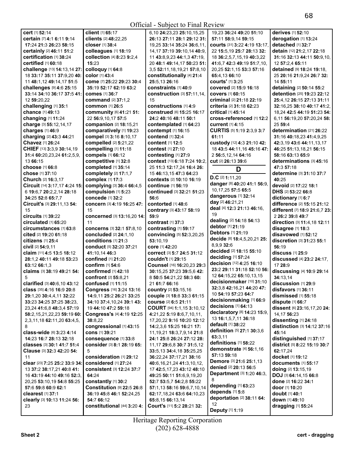| cert [1] 52:14                    | client [1] 65:17                 | 6,10 24:23,23 25:10,15,25        | 19.23 36:24 49:20 51:10       | derives [1] 52:10             |
|-----------------------------------|----------------------------------|----------------------------------|-------------------------------|-------------------------------|
| certain [7] 4:1 6:11 9:14         | clients [2] 48:22,25             | 26:13 27:11 28:1 29:12 31:       | 57:11 58:9.14 59:15           | derogation [1] 13:24          |
|                                   | closer [1] 38:4                  |                                  |                               |                               |
| 17:24 21:3 26:23 58:15            |                                  | 19,25 33:14 35:24 36:6,11,       | courts [31] 3:22 4:19 13:17   | detached [1] 32:7             |
| certainly [2] 46:11 51:2          | colleagues [1] 18:19             | 14, 17 37:19 39:10, 14 40:9,     | 22 15:5,19 25:7 28:13 32:     | detain [12] 21:2,17 22:18     |
| certification [1] 38:24           | collection [4] 8:23 9:2,4        | 11 43:8,9,23 44:1,3 47:19,       | 18 36:2,5,7,15,19 40:3,22     | 31:16 32:13 44:11 50:9.10.    |
| <b>certified</b> [1] 60:18        | 15:23                            | 20 48:1 49:14,17 50:23 51:       | 41:6.7 42:3 49:19 51:7.10.    | 12 57:2,4 65:11               |
| challenge [13] 14:13,14 27:       | colloquy [1] 64:8                | 3,5 52:11,18,19,21 57:8,10       | 20,25 52:1,15 53:3 57:16      | detained [9] 18:24 19:18,     |
| 18 33:17 35:11 37:9,20 40:        | color [1] 43:4                   | constitutionally [4] 21:4        | 65:4,13 66:10                 | 25 20:16 21:9,24 26:7 32:     |
| 11 48:1,12 49:14,17 51:5          | come [7] 25:22 29:23 30:4        | 25:5,13 26:16                    | courts' [1] 3:25              | 14 55:11                      |
| challenges [9] 4:6 25:15          | 35:19 52:17 62:19 63:2           | constraints [1] 40:9             | covered [2] 15:9 16:18        | detaining [2] 50:14 55:2      |
| 33:14 34:10 36:17 37:5 41:        | <b>comes</b> [1] 36:7            | construction [3] 57:11,14,       | <b>covers</b> [1] 60:15       | detention [25] 19:23 22:12    |
| 12 59:20,22                       | <b>command</b> [2] 37:1,2        | 15                               | criminal [2] 21:18 22:19      | 25:4,12 26:15 27:13 31:11     |
| challenging [1] 35:1              | <b>common</b> [1] 26:5           | constructions [1] 4:9            | criteria [2] 31:18 62:23      | 32:16,25 38:10 40:17 41:2,    |
| chance [1] 49:13                  |                                  | construed [6] 15:25 16:17        | <b>critical</b> [1] 45:14     |                               |
|                                   | community [6] 41:21 51:          |                                  |                               | 18,24 42:5 44:19 51:23 54:    |
| changing [1] 11:24                | 22 56:9,10,17 57:5               | 24:2 40:16 48:11 50:1            | cross-referenced [1] 12:2     | 6,11 56:19,20 57:20,24 58:    |
| charge [3] 55:12,14,17            | companion [2] 18:15,21           | contemplated [1] 64:23           | current [1] 4:15              | 25 59:4                       |
| charges [1] 46:9                  | comparatively [1] 19:23          | contempt [1] 16:15               | CURTIS [5] 1:19 2:3,9 3:7     | determination [21] 26:22      |
| charging [2] 43:3 44:21           | compel [3] 3:16 8:10,17          | contend [1] 32:4                 | 61:11                         | 31:16 40:18,23 41:4,9,25      |
| Chavez [1] 26:24                  | compelled [2] 5:21,22            | content [1] 12:5                 | custody [12] 4:3 21:10 42:    | 42:3,19 43:6 44:11,13,17      |
| CHIEF [13] 3:3,9 30:14,19         | compelling [1] 11:18             | <b>contest</b> [1] 27:10         | 18 43:5 44:11,16 45:16 47:    | 46:25 51:13,18,21 56:15       |
| 31:4 60:20,23,24 61:2,5,9,        | compels [1] 66:12                | contesting [1] 27:9              | 2 56:5.12.14 64:16            | 58:16 63:13 65:9              |
| 13 66:15                          | competitive [1] 32:8             | context [13] 6:18 7:24 10:2,     | cut <sup>[2]</sup> 26:13 39:6 | determinations [3] 45:16      |
| choose [1] 66:8                   | completed [1] 35:14              | 25 11:3 12:17,24 16:4 26:        |                               | 47:3 57:18                    |
| chose [1] 37:10                   | completely [2] 17:1,7            |                                  | D                             | determine [3] 31:10 37:7      |
|                                   |                                  | 15 46:13,15 47:3 64:23           | $D.C$ [2] 1:11,20             |                               |
| Church [2] 16:3,17                | complex [1] 17:3                 | <b>contexts</b> [2] 10:10 16:19  | danger [8] 40:20 41:1 56:9    | 40:25                         |
| Circuit [14] 3:17,17 4:24 15:     | complying [3] 36:4 66:4,5        | <b>continue</b> [1] 56:19        | 10, 17, 25 57: 5 65: 5        | devoid [2] 17:22 18:1         |
| 6 19:6,7 20:2,2,14 28:18          | compulsion [1] 5:23              | continued [3] 32:21 51:23        |                               | DHS [2] 53:22 66:8            |
| 34:25 52:8 65:7,7                 | concede [1] 32:2                 | 56:6                             | dangerous [1] 32:14           | dictionary [1] 6:7            |
| Circuit's [3] 29:11,13 54:        | concern [3] 4:19 16:25 47:       | contorted [1] 48:6               | day [2] 46:21,21              | difference [2] 15:15 21:12    |
| 15                                | 15                               | contrary [3] 43:17 58:19         | deal [4] 12:3 21:13 46:16,    | different [7] 18:9 21:6,7 23: |
| <b>circuits</b> [1] 39:22         | concerned [3] 13:16,20 14:       | 59:9                             | 19                            | 2 26:2 39:8 49:7              |
| circulated [1] 65:20              | 11                               | contrast [1] 37:3                | dealing [2] 14:18 54:13       | direction [3] 11:4,18 12:11   |
| circumstances [1] 63:8            | concerns [3] 32:1 57:8,10        | contrasting [1] 59:17            | debtor [1] 21:19              | disagree [1] 18:3             |
| cited [2] 19:20 61:18             | concluded [2] 24:1,10            | convincing [5] 52:3,20,25        | <b>Debtors</b> [1] 21:19      | disavowed [1] 52:12           |
| citizens [1] 25:4                 | conditions [1] 21:3              | 53:10.19                         | decide [8] 18:4,5,20,21 25:   | discretion [3] 31:23 55:1     |
| civil [2] 54:9,11                 | conduct [5] 32:20 37:21          | core [1] 42:20                   | 8,9,9 32:6                    | 56:19                         |
| claim [11] 4:5 13:5 18:12         | 41:10.14 46:3                    | correct [3] 5:7 24:5 31:12       | decided [2] 18:15 55:10       | discuss [1] 25:9              |
|                                   | <b>confined</b> [1] 21:20        | couldn't [1] 29:15               | deciding [1] 57:24            |                               |
| 28:1,2 40:11 49:18 53:23          |                                  |                                  | decision [12] 4:25 16:10      | discussed [4] 23:2 24:17,     |
| 63:12 66:1,3                      | confirm [1] 54:6                 | Counsel [16] 16:20,23 29:3       | 23:2 29:11 31:18 52:10 56:    | 17 28:9                       |
| claims [3] 38:19 49:21 54:        | confirmed [1] 42:18              | 30:15,25 37:23 39:5,6 42:        | 12 64:15,22 65:10,13,15       | discussing [4] 10:9 29:14     |
| 5                                 | confront [2] 55:8.21             | 8 50:5 54:21,22 58:3 60:         |                               | 34:13,14                      |
| clarified [3] 40:6.10 43:12       | confused [1] 11:15               | 21 61:7 66:16                    | decisionmaker [10] 31:10      | discussion [1] 29:9           |
| class [35] 4:16 16:9 20:8         | Congress [16] 3:24 13:16         | country [2] 53:15,16             | 32:3,8 42:16,21 44:20 47:     | disfavors [1] 36:11           |
| 29:1,20 30:4,4,11 32:22           | 14:9,11 25:2 26:21 33:25         | couple [3] 18:8 33:3 61:15       | 10 54:19 57:23 64:7           | dismissed [1] 55:18           |
| 33:23 34:25 37:25 38:23,          | 34:10 37:4,10,24 39:1 43:        | course [2] 6:5 21:11             | decisionmaking [1] 66:9       | dispute [1] 66:7              |
| 23,24 41:6,8 48:3,4 57:19         | 19 44:10 47:2 59:18              | COURT [94] 1:1,15 3:10,12        | decisions [1] 64:13           | dissent [6] 23:16,17,20 24:   |
| 58:2,15,21,22,23 59:19 60:        | Congress's [4] 4:19 12:25        | 4:21.22 5:19 8:6.7.10.11.        | declaratory [8] 14:23 15:9,   | 14.17 56:23                   |
| 2, 3, 11, 18 62: 11, 20 63: 4, 5, | 38:8.22                          | 17, 20, 22 9:16 10:20 12:12      | 13 16:1,5,7,11 36:18          | dissenting [1] 24:18          |
| 8                                 | congressional [1] 43:15          |                                  | default [1] 38:22             | distinction [3] 14:12 37:16   |
|                                   |                                  | 14:2,3,6 15:25 16:21 17:         | definition [5] 27:1 30:3,6    |                               |
| class-wide [6] 3:23 4:14          | <b>cons</b> [1] 39:21            | 11, 19, 21 18: 3, 7, 9, 14 21: 8 | 63:3,11                       | 45:14                         |
| 14:23 16:7 28:13 32:18            | consequence [1] 33:8             | 24:1 25:8 26:24 27:12 28:        | definitions [1] 58:22         | distinguished [1] 37:17       |
| classes [3] 30:1 41:7 51:4        | consider [3] 8:1 28:19 65:       | 11,17 29:6,8 30:7 31:5,12        | demonstrate [4] 56:1,16       | district [5] 8:22 15:19 30:7  |
| Clause [3] 32:3 42:20 54:         | 5                                | 33:5,13 34:4,18 35:25,25         |                               | 62:17,24                      |
| 11                                | consideration [1] 29:12          | 36:22,24 37:17,21 38:16          | 57:13 59:18                   | docket [1] 19:12              |
| clear [23] 7:25 25:2 33:9 34:     | considered [1] 27:24             | 40:6,16,21,24 41:3,10,12,        | Demore [3] 21:6 25:1,13       | documents [1] 55:17           |
| 13 37:2 38:17,21 40:8 41:         | <b>consistent [3] 12:24 37:7</b> | 17 42:5,17,23 43:12 48:10        | denied [2] 20:13 56:5         | doing [2] 13:15,19            |
| 16 43:19 44:10 49:16 52:3,        | 64:24                            | 49:25 50:11 51:6,9,19,20         | Department [3] 1:20 46:3,     | DOJ [3] 64:14,15 66:8         |
| 20,25 53:10,19 54:8 55:25         | constantly [1] 30:2              | 52:7 53:5,7 54:2,8 55:22         | 8                             | done [2] 16:22 34:1           |
| 57:6 59:8 60:9 62:1               | Constitution [9] 22:5 26:8       | 57:1,13 58:16 59:6,7,10,14       | depending [1] 63:23           | door [1] 10:20                |
| clearest [1] 37:1                 | 36:19 45:8 46:1 52:24,25         | 62:17,18,24 63:6 64:10,23        | depends [1] 5:8               | doubt [1] 40:1                |
| clearly [3] 10:13 11:24 56:       | 54:7 66:12                       | 65:8,15 66:13,14                 | deportation [2] 38:11 64:     | down [1] 49:10                |
| 23                                | constitutional [44] 3:20 4:      |                                  | 12                            |                               |
|                                   |                                  | Court's [11] 5:2 28:21 32:       | Deputy [1] 1:19               | dragging [1] 55:24            |
|                                   |                                  |                                  |                               |                               |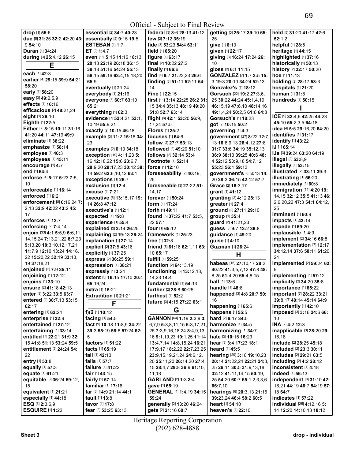|                                               |                                 | $\sim$ model bac for the new $\sim$    |                               |                                          |
|-----------------------------------------------|---------------------------------|----------------------------------------|-------------------------------|------------------------------------------|
| drop [1] 55:6                                 | essential [2] 34:7 40:23        | federal [3] 8:6 28:13 41:12            | getting [3] 25:17 39:10 65:   | held [5] 31:20 41:17 42:6                |
| due [5] 31:25 32:2 42:20 43:                  | essentially [2] 9:15 19:5       | few [2] 7:12 35:19                     | 25                            | 52:1.2                                   |
| 9 54:10                                       | <b>ESTEBAN [1] 1:7</b>          | fide [3] 53:23 54:4 63:11              | give [1] 6:13                 | helpful [1] 28:5                         |
| Duran [1] 34:24                               | ET $[2]$ 1:4,7                  | field [1] 65:20                        | given [1] 22:17               | heritage [1] 44:15                       |
| during [3] 25:4,12 26:15                      | even [18] 5:15 11:16 18:13      | figure [1] 63:17                       | giving [3] 16:24 17:24 26:    | highlighted [1] 37:16                    |
|                                               | 20:13 22:19 26:18 36:15         | final [2] 10:22 27:2                   | 10                            | historically [1] 50:13                   |
| Е                                             | 38:18 51:16 54:24 55:13         | finally $[1]$ 66:6                     | gloss [2] 6:1 11:15           | history [2] 22:17 50:20                  |
| each [1] 42:3                                 |                                 |                                        |                               | hoe [1] 11:13                            |
| earlier [4] 29:15 39:9 54:21                  | 56:15 59:16 63:4,15,18,20       | find [4] 6:7 21:22,23 26:6             | GONZALEZ [7] 1:7 3:5 15:      |                                          |
| 58:20                                         | 65:9                            | finding [3] 51:11 52:11 54:            | 3 19:3 20:10 34:24 52:13      | holding [2] 28:17 53:3                   |
|                                               | eventually [1] 21:24            | 14                                     | <b>Gonzalez's [1] 18:12</b>   | hospitals [1] 21:20                      |
| early [1] 58:20                               | everybody [1] 21:16             | Fine [1] 22:15                         | Gorsuch [22] 19:2 27:3,6,     | human [1] 31:8                           |
| easy [3] 49:2,5,9                             | everyone [3] 60:7 63:10         | first [11] 3:14 22:25 26:2 31:         | 25 30:22 44:24 45:1,4,19      | hundreds [1] 50:15                       |
| effects [1] 16:16                             | 65:21                           | 15 34:4 35:13 48:19 49:20              | 46:15,19 47:6,10 48:14,16     |                                          |
| efficacious [2] 48:21,24                      | everything [1] 62:3             | 51:8 52:7 63:14                        | 49:1,4,24 50:2,5 61:6 64:8    |                                          |
| eight [1] 26:10                               | evidence [7] 52:4,21 53:1,      | flight [6] 42:1 53:20 56:9,            | Gorsuch's [1] 18:23           | ICE [9] 32:4,6 42:25 44:23               |
| Eighth [1] 22:5                               | 10,19 55:9,21                   | 17,24 57:5                             | got [2] 10:15 50:2            | 45:10 55:2,3,5 64:18                     |
| Either [7] 8:15 10:11 31:16                   | exactly [2] 10:15 46:18         | <b>Flores</b> [1] 25:2                 | governing [1] 4:3             | idea [4] 5:5 29:16,20 64:20              |
| 41:20 44:11 47:19 49:9                        |                                 |                                        |                               | identifies [1] 31:17                     |
| eliminate [1] 38:22                           | example [3] 11:2 15:16 34:      | focuses [1] 64:6                       | government [27] 8:22 12:7,    | identify [1] 43:22                       |
|                                               | 23                              | follow [2] 27:7 53:13                  | 13 16:8,9,13 26:4,12 27:8     | IJ [1] 65:14                             |
| emphasize [1] 58:14                           | examples [2] 6:13 34:18         | followed [2] 49:20 51:10               | 31:7 33:6 34:19 35:12,13      |                                          |
| employee [1] 46:3                             | exception [19] 4:11,23 5:       | follows [2] 32:14 53:4                 | 36:9 38:13 39:25 40:6 48:     | IJs [3] 39:24 63:20 64:19                |
| employees [1] 45:11                           | 16 12:18,22 15:6 23:6,7         | Footnote [1] 52:14                     | 4 52:12 53:9,18 54:7,12       | <b>illegal</b> [2] 53:8,9                |
| encourage [1] 4:7                             | 28:9,20 29:17,23 30:12 38:      | force [1] 12:10                        | 55:23 56:1 59:13              | illegally [1] 53:15                      |
| end [1] 64:4                                  | 14 59:2 62:6, 10, 12 63:1       | foreseeability [2] 40:19,              | government's [6] 3:13 14:     | <b>illustrated</b> [2] 33:11 39:3        |
| enforce [4] 5:17 6:23 7:5,                    | exceptions [1] 26:7             | 25                                     | 20 28:3 36:15 42:12 57:7      | illustrating [1] 56:20                   |
| 10                                            |                                 |                                        |                               | immediately [1] 60:8                     |
| enforceable [1] 16:14                         | exclusion [1] 12:4              | foreseeable [3] 27:22 51:              | Grace [2] 16:3,17             | immigration [14] 4:20 19:                |
| enforced [1] 6:21                             | excuse [1] 7:21                 | 14,17                                  | grant [1] 41:12               | 14, 15 32: 12 35: 5 41: 13 46:           |
|                                               | executive [5] 13:15,17 19:      | forever [1] 50:24                      | granting [2] 4:12 28:13       |                                          |
| enforcement [8] 6:16,24 7:                    | 14 26:8 47:12                   | <b>form</b> [1] <b>17:24</b>           | greater [1] 27:4              | 2,6,20,22 47:3 54:1 64:12,               |
| 2,13 32:9 42:22 43:2 45:                      | executive's [1] 12:1            | forth [1] 49:11                        | ground [2] 27:11 29:10        | 25                                       |
| 17                                            | expected [1] 19:8               | found [5] 37:22 41:7 53:5,             | group [1] 35:4                | imminent [1] 60:9                        |
| enforces [1] 12:7                             | experience [1] 55:4             | 22 57:1                                | guard [2] 41:21,23            | <b>impacts</b> [1] 43:14                 |
| enforcing [2] 7:4,14                          | explained [2] 3:14 26:25        | four [1] 65:12                         | guess [3] 9:7 13:2 36:8       | impede [1] 59:20                         |
| enjoin [33] 4:1 5:5,9 6:6,11,                 | explaining [2] 19:13 26:24      | framework [1] 25:23                    | guidance [1] 49:20            | implausible [1] 4:9                      |
| 14, 15, 24 7: 13, 21, 22 8: 7, 23             |                                 |                                        |                               | implement [2] 34:16 66:8                 |
| 9:13,20 10:3,10,12,17,21                      | explanation [1] 27:14           | free [1] 32:8                          | guise [1] 4:10                | implementation [7] 12:17                 |
| 11:7,9 12:10 13:24 14:16,                     | explicit [2] 37:5 43:16         | friend [5] 61:16 62:1,11 63:           | Guzman [1] 26:24              | 34:12,14 37:6 58:11 61:20,               |
|                                               | explicitly [1] 37:25            | 10 65:17                               | Н                             |                                          |
| 22 15:20,22 32:19 33:13,                      | express [2] 36:25 59:1          | fulfill [1] 59:25                      |                               | 24                                       |
| 19 37:18,21                                   | expression [1] 38:21            | function [2] 64:13,19                  | habeas [16] 27:10,17 28:2     | implemented [2] 59:24 62:                |
| enjoined [2] 7:9 35:11                        | expressly [1] 3:24              | functioning [5] 13:12,13,              | 40:22 41:3,5,7,12 47:8 48:    | 9                                        |
| enjoining [1] 12:12                           | extent [5] 16:15 17:10 20:4     | 14,23 14:4                             | 8,25 51:4,20 65:4,8,15        | implementing [1] 57:12                   |
| enjoins [1] 33:10                             | 65:16,24                        | fundamental [1] 54:13                  | half [1] 13:6                 | implicitly [2] 34:20 35:8                |
| <b>ensure</b> [2] <b>41:</b> 18 <b>42:</b> 13 | extra [1] 15:21                 | further [2] 28:8 60:25                 | handle [1] 48:8               | <b>Importance</b> [1] <b>65:</b> 22      |
| enter [3] 3:22 33:5 63:7                      | Extradition [1] 21:21           | furthest [1] 52:2                      | happened [3] 4:8 20:7 50:     | important [7] 28:22 33:21                |
| entered [4] 30:7,13 53:15                     |                                 |                                        | 16                            | 39:8,17 40:14 45:14 64:9                 |
| 62:17                                         | F                               | future [3] 4:15 27:22 63:1             | happening [1] 65:6            | Importantly [1] 42:10                    |
| entering [1] 62:24                            | f)(2 $[1]$ 10:12                | G                                      | happens [1] 55:5              | imposed [3] 3:16 24:6 66:                |
|                                               |                                 |                                        |                               |                                          |
| enterprise [1] 32:9                           | facing [1] 54:5                 | GANNON [64] 1:19 2:3,9 3:              | hard [2] 6:17 34:5            | 10                                       |
| entertained [1] 27:12                         | fact [9] 10:18 11:8,9 34:22     | 6,7,9 5:3,8,11,15 6:3,17,21,           | harmonize [1] 34:5            | INA [2] 4:2 12:3                         |
| entertaining [1] 33:14                        | 39:3 55:19 56:6 57:24 62:       | 25 7:3.9.16.18.24 8:4.9.13.            | harmonizing [1] 34:7          | inapplicable [3] 28:20 29:               |
| entitled [7] 22:21 31:9 32:                   | 5                               | 16 9:1,19,23 10:1,25 11:14             | hate [2] 10:15 16:23          | 16,18                                    |
| 15 41:8 51:13 53:24 59:5                      | <b>factors</b> [1] <b>51:22</b> | 13:4,7,14 14:8,15,24 16:21             | hear [3] 3:4 17:23 18:1       | include [2] 28:25 45:18                  |
| entitlement [2] 24:24 54:                     | facts $[1]$ 65:19               | 17:9,17 18:2,22 22:7,23,25             | <b>heard</b> [1] <b>45:</b> 5 | included [2] 23:3 30:11                  |
| 22                                            | <b>fail</b> $[1]$ 42:13         | 23:9,15,19,21,24 24:6,12,              | hearing [29] 3:16 19:10,23    | includes [2] 29:21 63:5                  |
| entry [1] 53:8                                | fails [1] 57:7                  | 20 25:11,20 26:14,20 27:4,             | 20:14 21:22,24 22:21 24:3,    | including [2] 4:2 28:12                  |
| equally [1] 57:3                              | failure [1] 41:22               |                                        | 25 26:11 30:5 31:9,13,18      | inconsistent [1] 4:18                    |
|                                               |                                 | 15 28:4,7 29:8 36:9 61:10,             |                               |                                          |
| equate [1] 61:21                              | fair [1] 43:15                  | 11,13                                  | 32:12 41:11,14,15 50:19,      | <b>indeed</b> [1] <b>56:13</b>           |
| equitable [3] 36:24 59:12,                    | fairly [1] 57:14                | <b>GARLAND [2] 1:3 3:4</b>             | 25 54:20 60:7 65:1,2,3,3,6    | independent [8] 31:10 42:                |
| 15                                            | familiar [1] 17:16              | gave [1] 65:19                         | 66:7,10                       | 16,21 44:19 46:7 54:19 57:               |
| equivalent [1] 21:21                          | far [3] 14:9 21:14 44:1         | <b>GENERAL</b> [4] <b>1:4,19 34:15</b> | hearings [8] 20:3,13 21:16    | 18 64:7                                  |
| especially [1] 44:18                          | fault $[1]$ 13:8                | 59:24                                  | 39:23,24 46:4 58:2 60:5       | indicates [1] 57:22                      |
| ESQ [3] 2:3,6,9                               | favor $[1]$ 17:8                | generally [2] 13:20 46:24              | heart [1] 54:10               | <b>individual</b> [25] <b>4:12,16 5:</b> |
| <b>ESQUIRE [1] 1:22</b>                       | fear [2] 53:25 63:13            | gets [2] 21:16 60:7                    | heaven's [1] 22:10            | 14 12:20 14:10,13 18:12                  |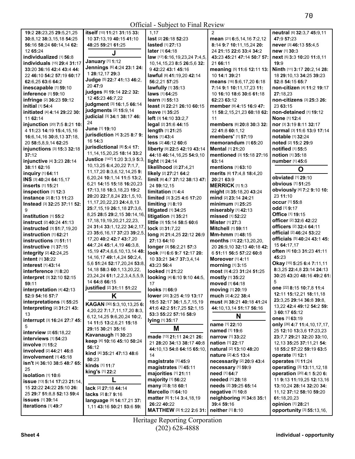Official - Subject to Final Review

|                               |                                        | $\omega$ and $\omega$ in the state $\omega$ |                                   |                                                          |
|-------------------------------|----------------------------------------|---------------------------------------------|-----------------------------------|----------------------------------------------------------|
| 19:2 28:23,25 29:5,21,25      | itself [10] 11:21 31:15 33:            | 1.17                                        | $\mathcal{P}$                     | neutral [6] 32:3,7 45:9,11                               |
| 30:8,12 38:3,15,18 54:25      | 10 37:13,19 40:15 41:10                | last [2] 26:18 52:23                        | mean [21] 6:5,14,16 7:2,12        | 47:9 57:23                                               |
| 56:16 58:24 60:14,14 62:      | 48:25 59:21 61:25                      | lasted [1] 27:13                            | 8:14 9:7 10:11,15,24 20:          | never [3] 46:13 55:4,5                                   |
| 12 65:24                      |                                        | later [1] 64:18                             | 24 21:15 22:6 33:4 34:2           | new [1] 30:3                                             |
| individualized [1] 56:8       | J                                      | law [17] 6:16,19,23,24 7:4,5,               | 43:23 45:21 47:14 50:7 57:        | next [5] 3:3 10:20 11:8,11                               |
| individuals [15] 29:4 31:17   | January [1] 1:12                       | 10, 14, 15, 23 8: 5 26: 5, 6 32:            | 21 66:11                          | 19:9                                                     |
| 33:20 36:16 42:4 43:4 44:     | Jennings [6] 4:24 23:1 24:             | 9 42:22 43:1 45:16                          | meaning [5] 11:6 12:11 13:        | Ninth [11] 3:17 20:2,14 28:                              |
| 22 46:10 54:2 57:19 60:17     | 1 28:12,17 29:3                        | lawful [6] 41:19,20 42:14                   | 10 14:1 39:21                     | 18 29:10,13 34:25 39:23                                  |
| 62:6.25 63:6 64:2             | Judge [5] 22:7 41:13 46:2,             | 56:2,21 57:25                               | means [16] 5:6,17,20 6:18         | 52:8 54:15 65:7                                          |
| inescapable [1] 59:10         | 20 47:9                                | lawfully [1] 35:13                          |                                   |                                                          |
|                               | judges [6] 19:14 22:2 32:              |                                             | 7:14 9:1 10:11,17,23 11:          | non-citizen [4] 11:2 19:17                               |
| inference [1] 59:10           | 12 45:23 46:7.22                       | laws [1] 64:25                              | 10 16:10 18:6 30:6 61:18          | 27:18.23                                                 |
| infringe [2] 36:23 59:12      | judgment [3] 16:1,5 66:14              | learn [1] 55:13                             | 62:23 63:12                       | non-citizens [3] 25:3 26:                                |
| initial [1] 54:4              | judgments [2] 15:9,14                  | least [3] 22:21 26:10 60:15                 | member [9] 4:15 16:9 47:          | 23 63:15                                                 |
| initiated [4] 4:14 29:22 30:  | judicial [3] 34:1 38:17 46:            | leave [1] 35:25                             | 11 58:2,15,21,23 60:18 62:        | non-detained [1] 19:12                                   |
| 11 62:14                      | 24                                     | left [3] 14:10 33:2,7                       | 11                                | <b>None [1] 12:4</b>                                     |
| injunction [20] 7:5 8:21 10:  |                                        | legal [2] 31:6 44:15                        | members [6] 20:8 30:3 32:         | nor [3] 3:19 8:11 32:17                                  |
| 4 11:23 14:19 15:4,15,16      | June [1] 19:10                         | length [1] 21:25                            | 22 41:8 60:1,12                   | normal [3] 11:6 13:9 17:14                               |
| 16:6,14,16 30:8,13 37:18,     | jurisdiction [4] 3:25 8:7 9:           | lens [1] 43:4                               | members' [1] 57:19                | notable [1] 32:24                                        |
| 20 58:5,8,9,14 62:25          | 16 14:3                                | less [2] 46:12 60:6                         | memorandum [1] 65:20              | noted [2] 15:2 29:9                                      |
| injunctions [3] 15:3 32:18    | jurisdictional [8] 5:4 17:             | liberty [9] 22:5 42:19 43:14                | Mental [1] 21:20                  | notified [1] 55:5                                        |
| 37:12                         | 11, 14, 15, 20, 25 18: 14 33: 2        | 44:18 46:14,16,25 54:9,10                   | mentioned [3] 15:18 27:16         | notion [1] 35:18                                         |
| injunctive [4] 3:23 28:14     | Justice [147] 1:20 3:3,9 5:3,          | light [1] 24:14                             | 63:14                             | number [1] 45:6                                          |
| 38:11 62:16                   | 10, 13, 25 6: 4, 20, 22 7: 1, 7,       | likelihood [2] 27:4,21                      | mentions [1] 63:10                |                                                          |
| inquiry [1] 64:11             | 11, 17, 20 8: 3, 6, 12, 14, 25 9:      | likely [2] 27:21 64:2                       | merits [6] 17:4,8 18:4,20         | O                                                        |
| INS [3] 40:24 64:15,17        | 6, 20, 24 10:1, 14 11:5 13:2,          | limit [6] 4:7 37:12 38:13 47:               | 20:21 63:9                        | obviated [1] 29:10                                       |
| inserts [1] 15:21             | 6.21 14:15 15:18 16:20.23              | 24 59:12,15                                 | <b>MERRICK [1] 1:3</b>            | <b>obvious</b> [1] 51:25                                 |
| inspection [1] 12:3           | 17:13,18 18:3,18,23 19:2               | limitation [1] 4:4                          | might [3] 35:18,20 43:24          | obviously [4] 7:2 9:10 10:                               |
| instance [2] 8:13 11:23       | 20:20 22:7,8,24 23:1,5,10,             | limited [3] 3:25 4:6 17:20                  | mind [2] 23:14 24:21              | 23 11:10                                                 |
|                               | 11, 17, 20, 22, 23 24: 4, 8, 13        |                                             |                                   | <b>occur</b> [1] 55:8                                    |
| Instead [3] 32:25 37:11 52:   | 25:7,15,19 26:1,18 27:3,6,             | limiting $[1]$ 8:19                         | minimum [1] 25:25                 | <b>odd</b> [1] <b>9:17</b>                               |
| 9                             | 8,25 28:5 29:2,15 30:14,16,            | litigated [1] 34:25                         | miserably [1] 42:13               | Office [1] 19:15                                         |
| institution [1] 55:2          | 17, 18, 19, 19, 20, 21, 22, 23,        | litigation [1] 35:21                        | missed [1] 52:22                  | officer [2] 32:6 42:22                                   |
| instruct [2] 40:24 41:13      | 24 31:4 33:1,12,22 34:2,17,            | little [3] 15:14 58:5 60:6                  | <b>Mister</b> [1] 27:3            | officers [2] 32:4 64:11                                  |
| instructed [3] 51:7,19,20     |                                        | lock [2] 31:7,22                            | <b>Mitchell [1] 59:11</b>         | official [2] 46:24 53:22                                 |
| instruction [1] 62:21         | 23 35:6, 16, 17 37: 23 39: 2, 5,       | long [6] 21:4,25 22:12 26:9                 | Mm-hmm [1] 48:15                  |                                                          |
| instructions [1] 51:11        | 17,20 40:2 42:7 43:7,20                | 27:13 64:10                                 | months [13] 22:13,20,20,          | officials [5] 40:24 43:1 45:                             |
| instructive [1] 37:15         | 44:7,24 45:1,4,19 46:3,8,              | longer [3] 56:2,21 57:3                     | 20 26:9,10 32:13 40:18 42:        | 15 64:17,17                                              |
| integrity [2] 42:24,25        | 15, 19 47: 4, 6, 6, 10, 13, 14 48:     | look [11] 6:6 9:7 12:17 20:                 | 6 51:11 56:5 57:22 60:8           | often [4] 10:3 31:23 41:11                               |
| intent [1] 38:22              | 14, 16, 17 49: 1, 4, 24 50: 2, 4,      | 10 33:21 34:7 37:3,4,14                     | <b>Moreover</b> [1] 4:11          | 45:23                                                    |
| interest [1] 43:14            | 5,6 51:24 52:17,20,24 53:8,            | 43:23 56:4                                  | morning [1] 3:15                  | Okay [15] 5:25 6:4 7:11,11                               |
| interference [1] 8:20         | 14, 18 58: 3 60: 1, 13, 20, 22,        | looked [1] 21:22                            | most [3] 4:23 31:24 51:25         | 8:3,25 22:4,8 23:14 24:13                                |
| interpret [3] 32:10 52:15     | 23, 24, 24 61: 1, 2, 2, 3, 4, 5, 5, 9, | looking [4] 6:10 9:10 44:5,                 | mostly [1] 35:22                  | 30:25 43:20 48:16 49:2 61:                               |
| 59:11                         | 14 64:8 66:15                          | 17                                          | moved [1] 64:18                   | 5                                                        |
| interpretation [4] 42:13      | justified [2] 31:11 51:22              | looks [1] 66:9                              | moving [1] 20:19                  | <b>one</b> [22] <b>8:</b> 15 <b>10:</b> 7,8 <b>11:</b> 4 |
| 52:9 54:16 57:7               | Κ                                      | lower [20] 3:25 4:19 13:17                  | much [2] 4:22 38:4                | 12:11 15:12,21 18:11,18                                  |
| interpretations [1] 55:25     |                                        | 15:5 32:17 36:1,5,7,15,19                   | must [8] 38:21 40:18 41:24        | 23:3,25 29:14 36:8 39:8,                                 |
| Interpreting [2] 31:21 43:    | KAGAN [30] 5:3,10,13,25 6:             | 41:6 42:2 51:7.25 52:1.15                   | 44:10,13,14 51:17 56:16           | 13,22 42:4 49:12 54:2 59:                                |
| 13                            | 4, 20, 22 7:1, 7, 11, 17, 20 8:3,      | 53:3 55:22 57:16 58:9                       |                                   | 3 60:17 65:12                                            |
| interrupt [3] 16:24 27:7 45:  | 6,12,14,25 9:6,20,24 10:2,             |                                             | N                                 | <b>ones</b> [1] 63:19                                    |
|                               | 14 11:5 13:2,6,21 15:18                | lying [1] 35:17                             | name [1] 22:10                    | only [26] 4:7 11:4, 10, 17, 17,                          |
| 5                             | 29:15 30:21 35:16                      | Μ                                           | named [1] 19:6                    | 25 12:10 13:3,6 17:23,23                                 |
| interview [2] 65:18,22        | Kavanaugh [1] 30:23                    | made [13] 21:11 24:21 26:                   | narrow [1] 33:22                  | 23:7.7 29:21 32:20 33:10.                                |
| interviews $[1]$ 54:23        | keep [4] 10:16 45:10 50:24             | 21 28:20 34:13 38:17 40:8                   | <b>nation</b> [1] 22:17           | 12, 13 35: 25 37: 11, 21 54:                             |
| involve [1] 15:2              | 56:12                                  | 44:10.13 54:8 64:15 65:10.                  | natural [2] 13:10 48:20           | 18 55:2 57:22 59:19 63:5                                 |
| involved [2] 44:21 46:8       | kind [4] 35:21 47:13 48:6              | 14                                          | <b>nature</b> [2] <b>4:5 13:4</b> | <b>operate</b> [1] 12:1                                  |
| involvement [1] 45:18         | 50:23                                  | magistrate [1] 45:9                         | necessarily [2] 20:9 43:4         | <b>operates</b> [1] <b>11:24</b>                         |
| isn't [4] 36:10 38:5 48:7 65: | kinds [1] 11:7                         | magistrates [1] 45:11                       | necessary [1] 59:9                |                                                          |
| 25                            | king's [1] 22:2                        |                                             |                                   | operating [3] 13:11,12,18                                |
| isolation [1] 10:6            |                                        | majorities [1] 21:11                        | need [1] 64:7                     | operation [20] 4:1 5:20 6:                               |
| issue [13] 5:14 17:23 21:14,  |                                        | majority [1] 56:22                          | needed [1] 28:18                  | 11 9:13 11:19,25 12:13,16                                |
| 15 22:22 24:22 25:10 26:      | lack [2] 27:18 44:14                   | many [2] 8:18 60:1                          | needs [2] 39:25 65:14             | 13:10,24 28:14 32:20 34:                                 |
| 25 29:7 51:8,8 52:13 59:4     | lacks [2] 8:7 9:16                     | Marcello [1] 64:10                          | negative [1] 10:8                 | 11, 12 37: 12 58: 10 59: 20                              |
| issues [1] 39:14              | language [9] 14:17,21 37:              | matter [6] 1:14 3:4,18,19                   | neighboring [4] 34:8 35:1         | 61:18,20,23                                              |
| iterations [1] 49:7           | 1,11 43:16 50:21 53:6 59:              | 26:22 40:22                                 | 39:4 59:16                        | opinion [1] 28:21                                        |
|                               |                                        | MATTHEW [3] 1:22 2:6 31:                    | neither [1] 8:10                  | opportunity [3] 55:13,16,                                |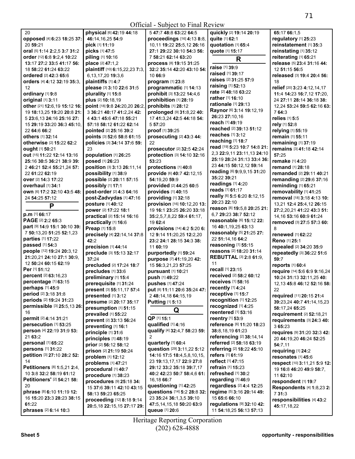| 20                           | physical [6] 42:19 44:18       | 5 47:7 48:8 63:22 64:5       | quickly [2] 19:14 20:19        | 65:17 66:1,5                 |
|------------------------------|--------------------------------|------------------------------|--------------------------------|------------------------------|
| opposed [4] 6:23 18:25 37:   | 46:14,16,25 54:9               | proceedings [16] 4:13 8:8,   | quite [1] 62:1                 | regulatory [1] 25:23         |
| 20 59:21                     | pick [1] 11:19                 | 10,11 19:22 25:5,12 26:16    | quotation [1] 65:4             | reinstatement [1] 35:3       |
| oral [5] 1:14 2:2,5 3:7 31:2 | picks [1] 47:5                 | 27:1 29:22 30:10 54:3 56:    | quote [1] 15:17                | reinstating [1] 35:12        |
| order [12] 6:8 9:2,4 10:22   | piling [1] 10:16               | 7 58:21 62:14 63:20          | R                              | reiterating [1] 65:21        |
| 13:17 27:2 33:5 41:17 56:    | place [2] 47:1,2               | process [8] 19:15 31:25      |                                | release [5] 23:4 31:16 44:   |
| 18 58:22 61:24 63:22         | plaintiff [10] 6:15,22,23 7:3, | 32:2 35:14 42:20 43:10 54:   | <b>raise</b> [1] <b>39:</b> 9  | 12 51:15 56:5                |
| ordered [2] 42:3 65:6        | 6, 13, 17, 20 19: 3, 6         | 10 66:9                      | raised [1] 39:17               | released [3] 19:4 20:4 56:   |
| orders [4] 4:12 32:19 35:3,  | plaintiffs [1] 4:7             | program [1] 23:8             | raises [2] 31:25 57:9          | 18                           |
| 12                           | please [3] 3:10 22:6 31:5      | programmatic [1] 14:13       | <b>raising</b> [1] 52:13       | relief [20] 3:23 4:12,14,17  |
| ordinary [1] 9:8             | plurality [1] 15:8             | prohibit [3] 13:22 14:4,6    | rate [2] 48:18 63:22           | 11:4 14:23 16:7,12 17:20,    |
| original [1] 3:11            | plus [2] 10:18,19              | prohibition [1] 28:19        | <b>rather</b> [1] <b>16:10</b> | 24 27:11 28:14 36:18 38:     |
| other [21] 12:6,19 15:12 16: | point [18] 9:8 24:20,20 26:2,  | prohibits [1] 28:12          | rationale [1] 29:13            | 12,24 53:24 59:5 62:16 63:   |
| 19 18:13,25 19:20 20:8 21:   | 3 36:21 40:17 41:2,24 42:      | prolonged [9] 31:8,22 40:    | Raynor [6] 3:14 19:12,19       | 764:3                        |
| 5 23:6, 13 24:16 25:16 27:   | 4 43:1 45:6 47:18 55:21        | 17 41:3,24 42:5 44:18 54:    | 26:23 27:10.16                 | relies [1] 5:5               |
| 15 29:19 33:20 36:3 45:10,   | 57:18 58:12 61:22 62:14        | 557:20                       | reach [1] 49:19                | rely [1] 52:8                |
| 22 64:6 66:2                 |                                | proof [1] 39:25              | reached [2] 39:13 51:12        |                              |
|                              | pointed [2] 25:16 39:2         |                              | reaches [1] 3:12               | relying [1] 55:19            |
| others [1] 32:14             | points [3] 52:6 58:8 61:15     | prosecuting [2] 43:3 44:     | reaching [1] 18:7              | remain [1] 55:11             |
| otherwise [2] 15:22 62:2     | policies [3] 34:14 37:6 59:    | 22                           | read [19] 5:23 10:7 14:8 21:   | remaining [1] 37:19          |
| ought [1] 50:21              | 23                             | prosecutor [2] 32:5 42:24    | 2,3 22:9,11 23:11,13 24:10     | remains [3] 41:18 42:14      |
| out [15] 11:22 12:14 13:16   | population [1] 26:25           | protection [3] 14:10 32:16   | 25:19 28:24 31:13 33:4 36:     | 57:25                        |
| 25:16 30:5 36:21 38:9 39:    | posed [1] 26:23                | 53:23                        | 23 44:15 50:12,12 59:14        | remake [1] 4:20              |
| 2 46:21 52:4 55:21.24 57:    | position [3] 3:13 26:11,14     | protections [1] 40:8         | reading [6] 9:9,9,15 31:20     | remand [1] 28:18             |
| 22 61:22 62:19               | possibility [1] 38:9           | provide [6] 40:7 42:12,15    | 35:22 39:21                    | remanded [2] 29:11 40:21     |
| over [2] 14:3 17:22          | possible [2] 20:11 57:15       | 54:19,20 59:9                | readings [1] 4:20              | remanding [2] 29:6 37:16     |
| <b>overhaul</b> [1] 34:1     | possibly [1] 17:1              | provided [2] 44:25 60:5      |                                | reminding [1] 65:21          |
| own [6] 17:2 32:10 43:5 48:  | post-order [2] 4:3 64:16       | provides [1] 40:15           | reads [1] 61:17                | removability [1] 41:25       |
| 24 54:25 57:12               | post-Zadvydas [1] 47:16        | providing [1] 32:18          | really [6] 5:5 6:20 8:12,15    | removal [18] 3:18 4:13 10:   |
| P                            | posture [1] 40:12              | provision [16] 10:12,20 13:  | 20:23 22:10                    | 13,21 12:4 25:4,12 26:15     |
|                              | power [2] 17:22 18:1           | 19 16:1 23:25 26:20 33:18    | reason [8] 19:5,8 20:25 21:    | 27:2,20,21 41:22 43:3 51:    |
| p.m [1] 66:17                | practical [2] 15:14 16:16      | 35:2,5,7,8,22 59:4 61:17,    | 6.7 29:23 38:7 52:12           | 14, 16 53: 16 60: 9 61: 24   |
| PAGE [2] 2:2 65:3            | practically [1] 16:6           | 19 62:4                      | reasonable [6] 15:12 22:       | removed [3] 27:5 57:3 60:    |
| part [9] 14:9 15:1 30:10 39: | Preap [1] 15:8                 | provisions [14] 4:2 5:20 6:  | 16 40:1, 19, 25 63:13          | 8                            |
| 7 50:13,20 51:25 52:1,23     | precisely [4] 22:14,14 37:8    | 12 9:14 11:20,25 12:2,20     | reasonably [5] 21:25 27:       | renewed [1] 62:22            |
| parties [1] 17:22            | 42:2                           | 23:2 24:1 28:15 34:3 38:     | 22 51:14,16 64:2               | Reno [1] 25:1                |
| passed [1] 54:3              | precision [1] 44:14            | 11 60:19                     | reasoning [1] 55:15            | repealed [2] 34:20 35:9      |
| people [12] 19:24 20:3,12    | preclude [3] 15:13 32:17       | purportedly [1] 59:24        | reasons [2] 18:20 31:14        | repeatedly [3] 36:22 51:6    |
| 21:20,21 24:10 27:1 30:9,    | 37:24                          | purpose [7] 41:19,20 42:     | <b>REBUTTAL [3] 2:8 61:9,</b>  | 59:7                         |
| 12 50:24 60:15 62:19         | precluded [2] 17:24 18:7       | 15 56:3,21,23 57:25          | 11                             | reports [1] 60:4             |
| Per [1] 51:12                | precludes [1] 33:6             | pursuant [1] 10:21           | recall [1] 23:15               | require [14] 5:6 6:9 9:16,24 |
| percent [2] 63:16,23         | preliminary [1] 15:4           | push [1] 49:22               | received [2] 58:2 60:12        | 10:24 31:13 32:11,25 40:     |
| percentage [1] 63:15         | prerequisite [1] 31:24         | pushes [1] 47:24             | receives [1] 58:16             | 12,13 45:8 46:12 52:16 58:   |
| <b>perhaps</b> [1] 45:9      | present [3] 55:11,17 57:4      | put [8] 11:11 20:6 35:24 47: | recently $[1]$ 4:24            | 22                           |
| period [2] 3:18 31:8         | presented [1] 3:12             | 2 48:14,18 64:15,19          | receptive [1] 15:7             | required [11] 20:15 21:4     |
| periods [2] 19:24 31:23      | presume [2] 20:17 35:17        | <b>Putting [1] 5:13</b>      | recognition [1] 12:25          | 39:23,24 40:7 41:14,15,23    |
| permissible [3] 25:5,13 26:  | presumption [1] 51:15          |                              | recognized [1] 4:25            | 58:17,24 65:25               |
| 16                           | prevailed [1] 55:22            | Q                            | reentered [1] 53:16            | requirement [2] 52:18,21     |
| permit [2] 4:14 31:21        | prevent [2] 33:13 56:24        | QP [1] 15:1                  | reentry [1] 53:9               | requirements [3] 24:3 40:    |
| persecution [1] 53:25        | preventing [1] 16:1            | qualified [1] 4:16           | reference [6] 11:20 18:23      | 3 65:23                      |
| person [4] 22:19 31:9 53:    | principle [1] 31:6             | qualify [4] 32:4,7 58:23 59: | 38:8,18,19 61:23               | requires [9] 31:20 32:3 42:  |
| 21 63:2                      | principles [1] 48:19           | 2                            | referencing [2] 38:14,14       | 20 44:19,20 46:24 52:25      |
| personal [1] 65:22           | prior [2] 56:12 58:12          | quarterly [1] 60:4           | referred [2] 58:18 63:19       | 54:7,11                      |
| persons [1] 31:22            | prison [2] 21:19 50:24         | question [29] 3:11,22 5:12   | referring [2] 18:22 45:10      | requiring [1] 24:2           |
| petition [3] 27:10 28:2 52:  | problem [1] 12:12              | 14:16 17:5 18:4,5,8,10,15,   | refers [1] 61:19               | resonates [1] 45:6           |
| 14                           | problems [1] 47:21             | 23 19:13,17,17 22:9 27:8     | reflect [1] 47:15              | respect [10] 3:11,21 5:9 12: |
| Petitioners [8] 1:5,21 2:4,  | procedural [1] 40:7            | 29:12 33:2 35:18 39:7,17     | refrain [1] 15:23              | 19 16:8 46:20 49:9 58:7,     |
| 10 3:8 32:2 58:19 61:12      | procedure [1] 38:23            | 40:2 42:23 50:7 58:4,6 61:   | refreshed [1] 30:2             | 11 62:10                     |
| Petitioners' [2] 54:21 58:   | procedures [9] 25:18 34:       | 16,18 66:7                   | regarding [1] 46:9             | respondent [1] 19:7          |
| 20                           | 15 37:6 39:11 42:10 43:15      | questioning [1] 42:25        | regardless [2] 4:4 12:25       | Respondents [4] 1:8,23 2:    |
| phrase [8] 6:10 11:19 12:    | 58:13 59:23 65:25              | questions [14] 5:2 28:8 32:  | regime [5] 3:16 20:14 49:      | 731:3                        |
| 16 15:20 23:3 28:23 38:15    |                                | 23 35:24 36:1,3,5 39:10      | 15 65:6 66:10                  | responsibilities [4] 43:2    |
| 61:22                        | proceeding [12] 8:18 9:14      | 47:5,14,15,18 50:20 63:9     | regulations [9] 32:10 42:      |                              |
| phrases [2] 6:14 10:3        | 20:5,18 22:15,15 27:17 29:     | queue [1] 20:6               | 11 54:18,25 56:13 57:13        | 45:17,18,22                  |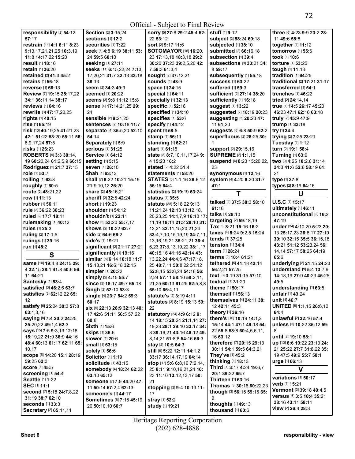## Official - Subject to Final Review

| responsibility [2] 54:12                               | Section [2] 3:15,24                            | sorry [5] 27:6 29:2 45:4 52:                 | <b>stuff</b> [1] 9:12                                | three [6] 4:23 9:9 23:2 28:                              |
|--------------------------------------------------------|------------------------------------------------|----------------------------------------------|------------------------------------------------------|----------------------------------------------------------|
| 57:17                                                  | <b>sections [1] 12:2</b>                       | 22 53:12                                     | subject [2] 58:24 60:18                              | 11 49:6 58:8                                             |
| restrain [14] 4:1 6:11 8:23                            | securities [1] 7:22                            | sort [2] 9:17 11:6                           | subjected [1] 38:10                                  | together [1] 11:12                                       |
| 9:13,17,21,21,25 10:3,19                               | seek [6] 4:8 6:19 38:11 53:                    | SOTOMAYOR [16] 16:20,                        | submitted [2] 66:16,18                               | tomorrow [1] 55:6                                        |
| 11:8 14:17,22 15:20                                    | 24 59:5 60:10                                  | 23 17:13,18 18:3,18 29:2                     | subsection [1] 39:4                                  | took [1] 10:6                                            |
| result [1] 18:16                                       | seeking [1] 27:11                              | 30:20 37:23 39:2,5,20 42:                    | <b>subsections</b> [3] 33:21 34:                     | torture [1] 53:25                                        |
| retain [1] 36:20                                       | seeks [11] 6:15,22,24 7:13,                    | 7 58:3 61:3,4                                | 8 59:17                                              | tough [1] 11:13                                          |
| retained [2] 41:3 45:2                                 | 17, 20, 21 31: 7 32: 13 33: 18                 | sought [2] 37:12,21                          | subsequently [1] 55:18                               | tradition [1] 64:25                                      |
| <b>retains</b> [1] <b>56:</b> 18                       | 38:13                                          | <b>sounds</b> [1] 43:9                       | <b>success</b> [1] 63:22                             | traditional [2] 17:21 31:17                              |
| reverse [1] 66:13                                      | seem [2] 34:3 49:9                             | space [1] 24:15                              | <b>suffered</b> [1] 59:3                             | transferred [1] 54:1                                     |
| <b>Review [7] 19:15 25:17.22</b>                       | seemed [1] 20:22                               | special [1] 64:11                            | sufficient [2] 27:14 38:20                           | trenches [1] 46:22                                       |
| 34:1 36:11,14 38:17                                    | Seems [3] 9:8 11:12 15:8                       | specially [1] 32:13                          | sufficiently [1] 16:18                               | tried [2] 24:14,14                                       |
| reviews [1] 64:16                                      | sense [4] 17:14,21,25 29:                      | <b>specific [1] 52:16</b>                    | suggest [1] 13:22                                    | true [7] 14:5 26:17 45:20                                |
| rewrite [3] 47:17,20,25                                | 24                                             | specified [1] 34:10                          | suggested [2] 18:19 20:23                            | 46:23 47:1 62:16 63:18                                   |
| rights [1] 40:15                                       | sensible [2] 9:21,25                           | specifies [1] 53:6                           | suggesting [3] 20:23 47:                             | truly [2] 45:9 47:9                                      |
| <b>rise</b> [1] 65:19                                  | sentences [2] 10:18 11:7                       | specify [1] 44:12                            | 11 61:20                                             | trump [1] 33:18                                          |
| risk [13] 40:19,25 41:21,23                            | separate [4] 35:5,20 52:10                     | spent [1] 58:5                               | suggests [3] 6:8 50:9 62:2                           | try [1] 34:4                                             |
| 42:1 51:22 53:20 55:11 56:                             | 54:14                                          | stamp [1] 56:11                              | superfluous [2] 28:25 30:                            | trying [2] 7:25 23:21                                    |
| 8,9,17,24 57:5                                         | Separately [1] 5:9<br><b>serious</b> [1] 31:25 | standing [1] 62:21                           | 1                                                    | Tuesday [1] 1:12                                         |
| <b>risks</b> [1] <b>26:</b> 23                         |                                                | <b>start</b> [1] <b>61:15</b>                | support [2] 29:15,16                                 | turn [2] 19:1 58:4                                       |
| <b>ROBERTS [9] 3:3 30:14.</b>                          | Service [1] 64:12                              | state [8] 8:7,10,11,17,24 9:<br>4 15:23 16:2 | <b>SUPREME [2] 1:1,15</b>                            | Turning [1] 63:9<br>two [9] 4:25 10:2,6 31:14            |
| 19 60:20,24 61:2,5,9 66:15<br>Rodriguez [2] 21:7 37:15 | setting [1] 5:15<br>seven [1] 26:10            | stated [2] 4:22 51:4                         | suspend [4] 8:23 15:20,22,<br>23                     |                                                          |
| role [1] 53:7                                          | Shah [1] 63:13                                 | statements [1] 58:20                         | synonymous [1] 12:16                                 | 34:3 41:6 52:6 58:19 61:<br>21                           |
| rolling [1] 63:8                                       | shall [7] 8:22 10:21 15:19                     | STATES [6] 1:1,16 26:6,12                    | system [4] 4:20 8:20 31:7                            | type [1] 37:8                                            |
| roughly [1] 60:5                                       | 21:9,10,12 26:20                               | 56:15 64:4                                   | 47:1                                                 | types [2] 8:19 64:16                                     |
| route [2] 48:21,22                                     | share [2] 45:16,21                             | statistics [2] 19:19 63:24                   |                                                      |                                                          |
| row [1] 11:13                                          | sheriff [2] 32:5 42:24                         | status [1] 35:5                              | Т                                                    | U                                                        |
| rubber [1] 56:11                                       | short [1] 19:23                                | statute [88] 5:18,22 9:13                    | talked [4] 37:5 38:3 58:10                           | U.S.C [1] 15:17                                          |
| rule [2] 36:22 38:23                                   | shoulder [1] 54:12                             | 11:21,24 12:13 13:12,18,                     | 61:16                                                | ultimately [1] 46:11                                     |
| ruled [2] 17:7 18:11                                   | shouldn't [1] 22:11                            | 20,23,25 14:4,7,9 16:10 17:                  | talks [1] 28:10                                      | unconstitutional [2] 16:2                                |
| rulemaking [1] 40:12                                   | show [3] 53:20 55:7,17                         | 11, 19 18: 14 21: 2 28: 10 31:               | targeting [2] 59:18,19                               | 47:19                                                    |
| rules [1] 25:3                                         | shows [2] 10:22 62:7                           | 13,21 32:11,15,20,21,24                      | Tax [3] 8:21 15:16 16:2                              | under [24] 4:10,20 5:23 20:                              |
| ruling [2] 17:1,5                                      | side [2] 64:6 66:2                             | 33:4,7,10,15,19,19 34:7,11,                  | taxes [4] 8:24 9:2,5 15:24                           | 13 25:17,23 26:8,17 27:19                                |
| rulings [1] 39:16                                      | side's [1] 19:21                               | 13, 16, 19, 21 35: 21, 21 36: 4,             | tends [1] 37:25                                      | 30:10 32:15 35:5 36:15,18                                |
| run [1] 48:2                                           | significant [2] 21:17 27:21                    | 6,23 37:8,13,19,22 38:1,17                   | tension [1] 34:4                                     | 43:21 51:12 53:23,24 56:                                 |
| S                                                      | significantly [1] 19:16                        | 40:15,16 41:16 42:14 43:                     | term [1] 28:24                                       | 14,14 57:17 58:25 64:19                                  |
|                                                        | similar [8] 6:14 10:18 11:7                    | 13,22,24 44:4,6 47:17,18,                    | terms [2] 10:4 61:21                                 | 65:6                                                     |
| same [10] 19:4,8 24:15 29:                             | 15:13,21 16:6,18 32:15                         | 25 48:7,11 50:8,22 51:12                     | tethered [5] 41:18 42:14                             | underlying [2] 21:15 24:23                               |
| 4 32:15 38:1 41:8 50:6 56:                             | simpler [1] 20:22                              | 52:8,15 53:6,24 54:16 56:                    | 56:2,21 57:25                                        | understand [9] 5:4 13:7,9                                |
| 11 64:21                                               | simply [2] 4:15 55:7                           | 2,24 57:11 58:10 59:2,11,                    | text [3] 3:19 31:15 57:10                            | 14:18.19 27:9 40:23 45:25                                |
| Santosky [1] 53:4                                      | since [3] 18:17 49:7 65:18                     | 21,25 60:13 61:25 62:5,8,8                   | textual [1] 31:20                                    | 49:5                                                     |
| Satisfied [3] 46:2,6 63:7                              | Singh [2] 52:10 53:3                           | 65:10 66:4,11                                | <b>theme</b> [1] <b>50:17</b>                        | understanding [1] 63:5                                   |
| satisfies [3] 62:12,22 65:                             | single [4] 23:7 54:2 59:3                      | statute's [2] 3:19 4:11                      | themself [1] 56:13                                   | unfair [1] 43:24                                         |
| $12 \overline{ }$                                      | 60:17                                          | <b>statutes</b> [3] <b>8:19 15:13 59:</b>    | themselves [4] 24:11 38:                             | unit [1] 46:7                                            |
| satisfy [6] 25:24 30:3 57:8                            | Six [9] 22:13 26:9 32:13 40:                   | 22                                           | 12 42:11 45:3                                        | <b>UNITED [5] 1:1,15 26:6,12</b>                         |
| 63:1,3,16                                              | 17 42:6 51:11 56:5 57:22                       | statutory [24] 4:9 6:12 9:                   | theory [1] 36:16                                     | 64:4                                                     |
| <b>saying [8] 7:4 20:2 24:25</b>                       | 60:8                                           | 14 18:15 20:24 21:1,14 27:                   | there's [16] 10:19 14:1,2                            | unlawful [2] 32:16 57:4                                  |
| 25:20,22 49:1,4 62:3                                   | Sixth [1] 15:6                                 | 19,23 28:1 29:10 33:17 34:                   | 15:14 44:1 47:1 49:18 54:                            | unless [3] 10:22 35:12 59:                               |
| says [15] 7:5 9:3,13 12:18<br>15:19.22 21:9 36:9 44:16 | <b>skips</b> [1] 36:6                          | 3 39:16,21 43:16 48:12 49:                   | 22 55:8 58:8 60:4,5,6,11,<br>16 63:12                | 8                                                        |
| 48:4 60:13 61:17 62:11 65:                             | slower [1] 20:6                                | 8,14,21 51:8,8 54:16 66:3                    |                                                      | until [2] 19:10 58:1                                     |
| 10,17                                                  | small [1] 63:15                                | stay [2] 10:5 64:3                           | therefore [7] 20:15 29:13<br>30:11 54:1 59:5 64:3,21 | up [13] 6:6 19:22 23:13 24:<br>21 25:22 27:7 31:8.22 35: |
|                                                        | solely [1] 56:6                                | still [9] 5:22 12:11 14:1,2                  | They've [1] 45:2                                     | 19 47:5 49:9 55:7 58:1                                   |
| SCOPe [5] 14:20 15:1 28:19<br>59:25 62:3               | Solicitor [1] 1:19                             | 33:17 36:14,17,19 64:14                      | thinking [1] 18:13                                   | urge [1] 66:13                                           |
| <b>score [1] 45:5</b>                                  | <b>solicitude</b> [1] 43:15                    | <b>stop</b> [17] <b>5:6 6:8,16 7:2,14,</b>   | Third [7] 3:17 4:24 19:6,7                           |                                                          |
| <b>screening [1] 54:4</b>                              | somebody [4] 18:24 62:22                       | 25 8:11 9:10,16,21,24 10:                    | 20:1 39:22 65:7                                      | V                                                        |
| Seattle [1] 1:22                                       | 63:10 65:12                                    | 23 11:10 13:12,13,17 50:                     | Thirteen [1] 63:16                                   | <b>variations</b> [1] 50:17                              |
| SEC [1] 11:1                                           | someone [7] 7:9 44:20 47:                      | 21                                           | Thomas [3] 30:16 60:22,23                            | verb [1] 15:21                                           |
| second [7] 5:18 24:7,8,22                              | 11 50:14 57:2,4 62:13                          | stopping [3] 9:4 10:13 11:                   | though [3] 56:15 59:16 65:                           | Vermont [3] 39:18 40:4,5                                 |
| 31:19 38:7 62:10                                       | <b>someone's [1] 44:17</b>                     | 17                                           | 9                                                    | versus [6] 3:5 10:4 35:21                                |
| seconds $[1]$ 33:3                                     | Sometimes [6] 7:16 45:19.                      | stray [1] 52:2                               | thoughts $[1]$ 49:13                                 | 38:16 43:11 58:11                                        |
| Secretary [2] 65:11,11                                 | 20 50:10,10 60:7                               | <b>study</b> [1] 19:21                       | thousand [1] 60:6                                    | view [2] 26:4 28:3                                       |

Heritage Reporting Corporation (202) 628-4888